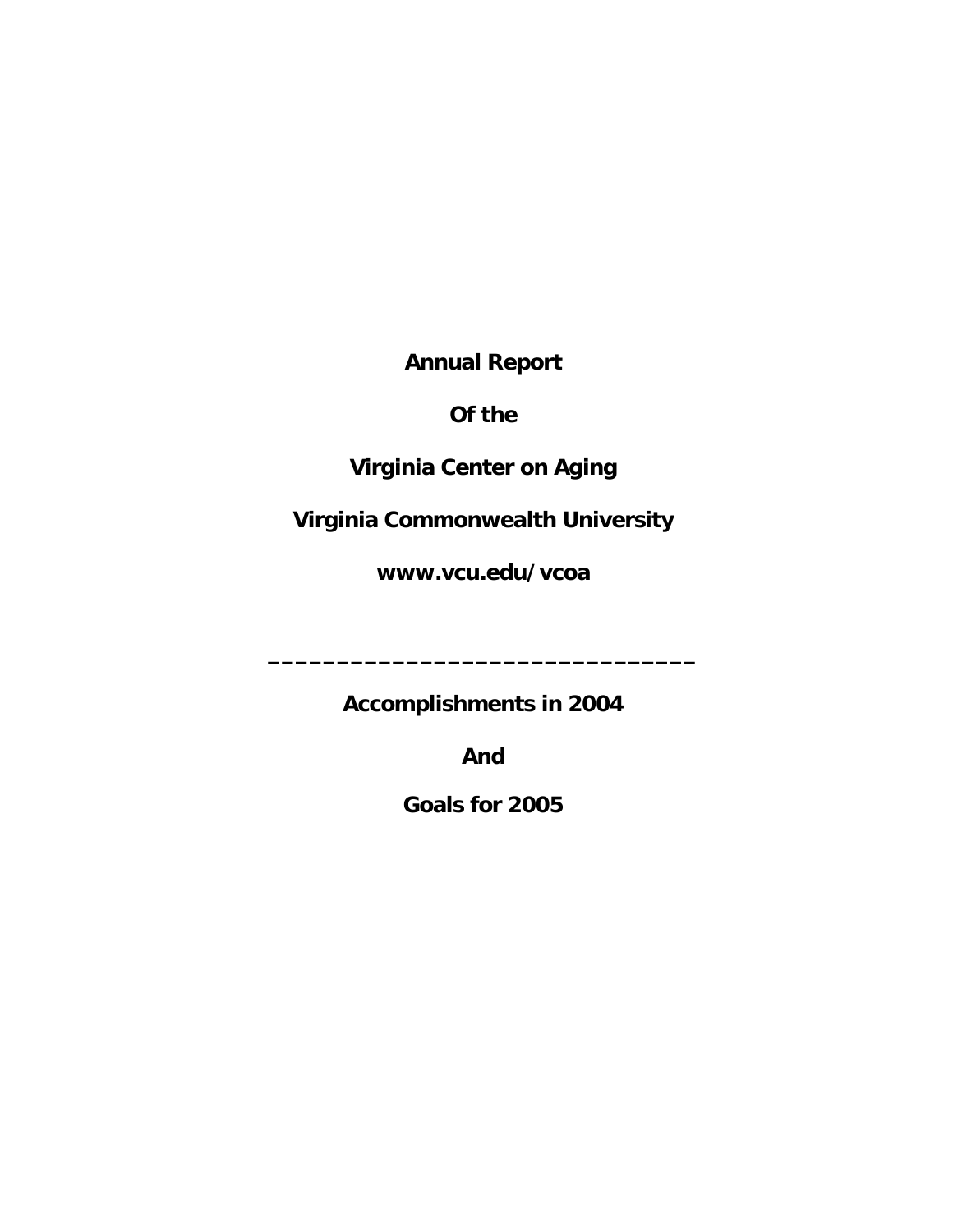**Annual Report** 

# **Of the**

# **Virginia Center on Aging**

**Virginia Commonwealth University** 

**www.vcu.edu/vcoa** 

**Accomplishments in 2004** 

**\_\_\_\_\_\_\_\_\_\_\_\_\_\_\_\_\_\_\_\_\_\_\_\_\_\_\_\_\_\_\_** 

**And** 

**Goals for 2005**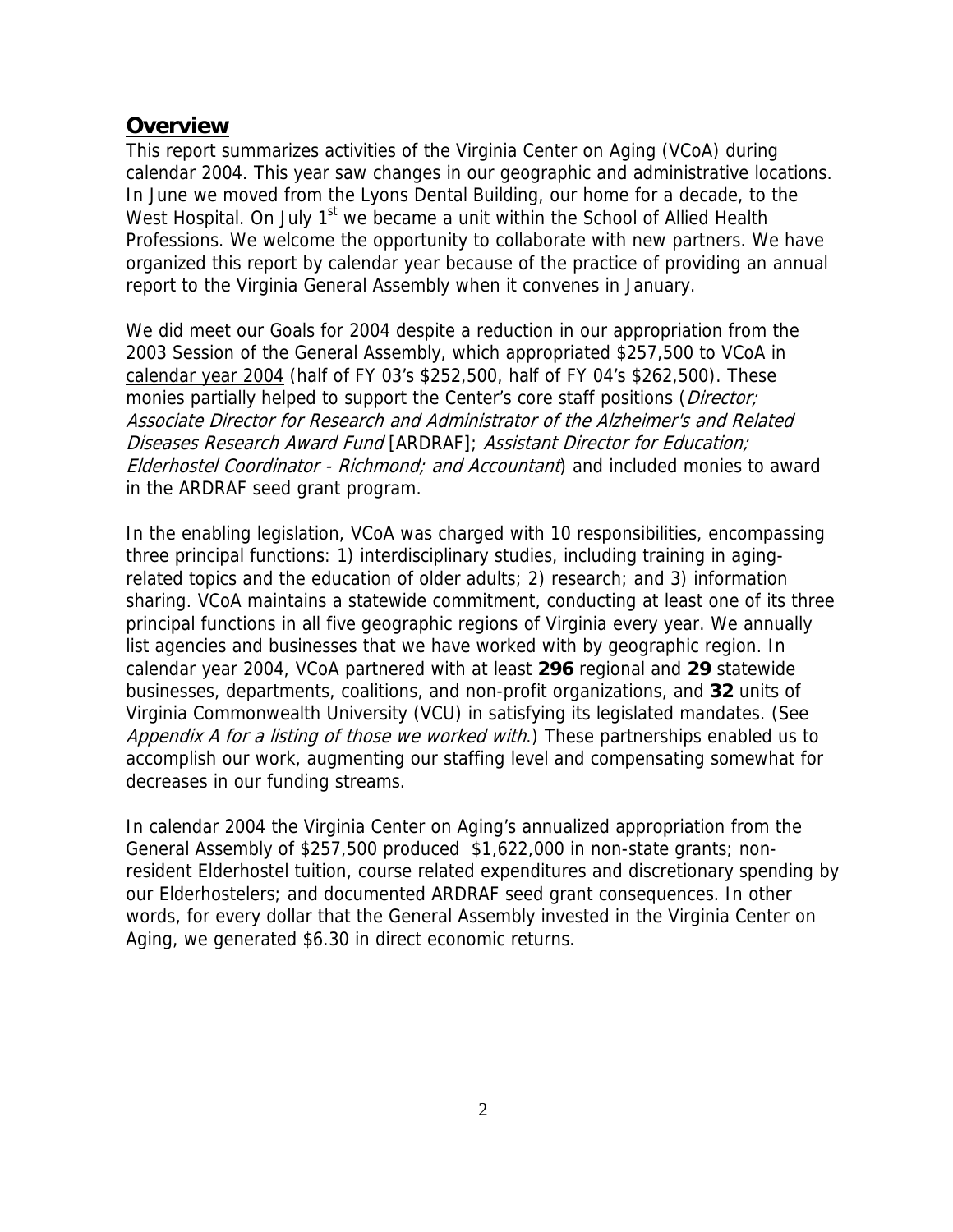## **Overview**

This report summarizes activities of the Virginia Center on Aging (VCoA) during calendar 2004. This year saw changes in our geographic and administrative locations. In June we moved from the Lyons Dental Building, our home for a decade, to the West Hospital. On July 1<sup>st</sup> we became a unit within the School of Allied Health Professions. We welcome the opportunity to collaborate with new partners. We have organized this report by calendar year because of the practice of providing an annual report to the Virginia General Assembly when it convenes in January.

We did meet our Goals for 2004 despite a reduction in our appropriation from the 2003 Session of the General Assembly, which appropriated \$257,500 to VCoA in calendar year 2004 (half of FY 03's \$252,500, half of FY 04's \$262,500). These monies partially helped to support the Center's core staff positions (Director; Associate Director for Research and Administrator of the Alzheimer's and Related Diseases Research Award Fund [ARDRAF]; Assistant Director for Education; Elderhostel Coordinator - Richmond; and Accountant) and included monies to award in the ARDRAF seed grant program.

In the enabling legislation, VCoA was charged with 10 responsibilities, encompassing three principal functions: 1) interdisciplinary studies, including training in agingrelated topics and the education of older adults; 2) research; and 3) information sharing. VCoA maintains a statewide commitment, conducting at least one of its three principal functions in all five geographic regions of Virginia every year. We annually list agencies and businesses that we have worked with by geographic region. In calendar year 2004, VCoA partnered with at least **296** regional and **29** statewide businesses, departments, coalitions, and non-profit organizations, and **32** units of Virginia Commonwealth University (VCU) in satisfying its legislated mandates. (See Appendix A for a listing of those we worked with.) These partnerships enabled us to accomplish our work, augmenting our staffing level and compensating somewhat for decreases in our funding streams.

In calendar 2004 the Virginia Center on Aging's annualized appropriation from the General Assembly of \$257,500 produced \$1,622,000 in non-state grants; nonresident Elderhostel tuition, course related expenditures and discretionary spending by our Elderhostelers; and documented ARDRAF seed grant consequences. In other words, for every dollar that the General Assembly invested in the Virginia Center on Aging, we generated \$6.30 in direct economic returns.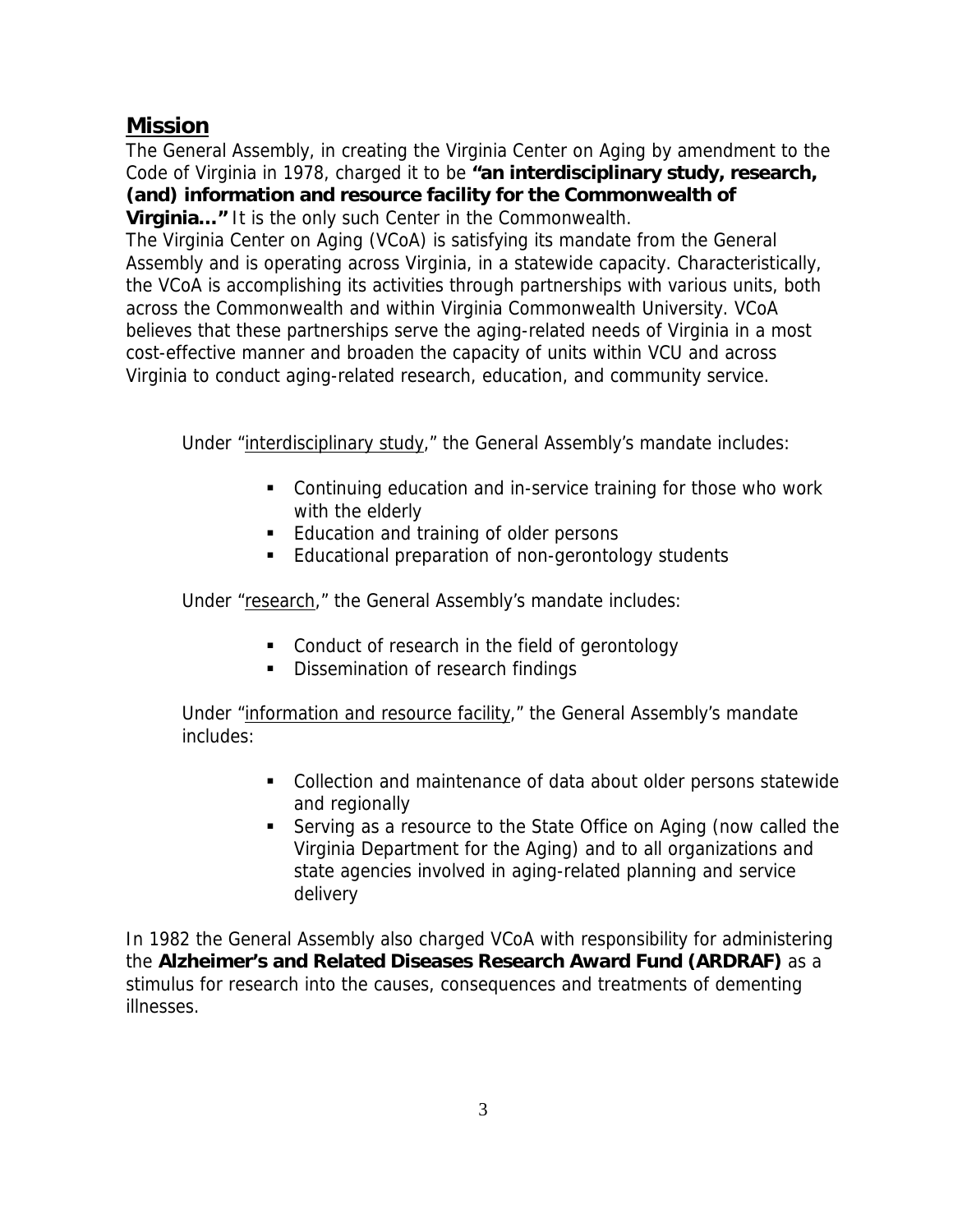## **Mission**

The General Assembly, in creating the Virginia Center on Aging by amendment to the Code of Virginia in 1978, charged it to be **"an interdisciplinary study, research, (and) information and resource facility for the Commonwealth of Virginia…"** It is the only such Center in the Commonwealth.

The Virginia Center on Aging (VCoA) is satisfying its mandate from the General Assembly and is operating across Virginia, in a statewide capacity. Characteristically, the VCoA is accomplishing its activities through partnerships with various units, both across the Commonwealth and within Virginia Commonwealth University. VCoA believes that these partnerships serve the aging-related needs of Virginia in a most cost-effective manner and broaden the capacity of units within VCU and across Virginia to conduct aging-related research, education, and community service.

Under "interdisciplinary study," the General Assembly's mandate includes:

- Continuing education and in-service training for those who work with the elderly
- **Education and training of older persons**
- **Educational preparation of non-gerontology students**

Under "research," the General Assembly's mandate includes:

- **Conduct of research in the field of gerontology**
- **Dissemination of research findings**

Under "information and resource facility," the General Assembly's mandate includes:

- Collection and maintenance of data about older persons statewide and regionally
- Serving as a resource to the State Office on Aging (now called the Virginia Department for the Aging) and to all organizations and state agencies involved in aging-related planning and service delivery

In 1982 the General Assembly also charged VCoA with responsibility for administering the **Alzheimer's and Related Diseases Research Award Fund (ARDRAF)** as a stimulus for research into the causes, consequences and treatments of dementing illnesses.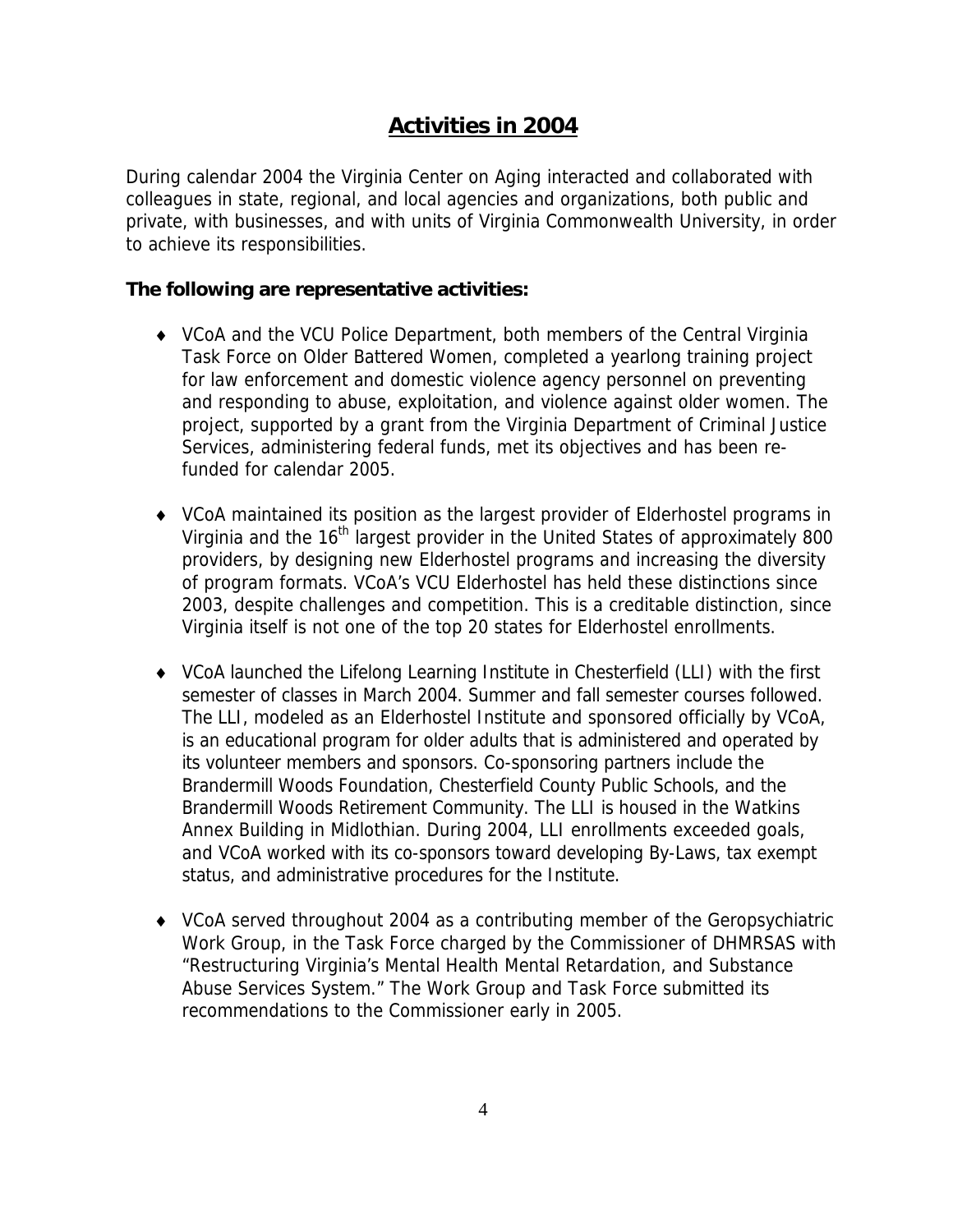# **Activities in 2004**

During calendar 2004 the Virginia Center on Aging interacted and collaborated with colleagues in state, regional, and local agencies and organizations, both public and private, with businesses, and with units of Virginia Commonwealth University, in order to achieve its responsibilities.

## **The following are representative activities:**

- ♦ VCoA and the VCU Police Department, both members of the Central Virginia Task Force on Older Battered Women, completed a yearlong training project for law enforcement and domestic violence agency personnel on preventing and responding to abuse, exploitation, and violence against older women. The project, supported by a grant from the Virginia Department of Criminal Justice Services, administering federal funds, met its objectives and has been refunded for calendar 2005.
- ♦ VCoA maintained its position as the largest provider of Elderhostel programs in Virginia and the 16<sup>th</sup> largest provider in the United States of approximately 800 providers, by designing new Elderhostel programs and increasing the diversity of program formats. VCoA's VCU Elderhostel has held these distinctions since 2003, despite challenges and competition. This is a creditable distinction, since Virginia itself is not one of the top 20 states for Elderhostel enrollments.
- ♦ VCoA launched the Lifelong Learning Institute in Chesterfield (LLI) with the first semester of classes in March 2004. Summer and fall semester courses followed. The LLI, modeled as an Elderhostel Institute and sponsored officially by VCoA, is an educational program for older adults that is administered and operated by its volunteer members and sponsors. Co-sponsoring partners include the Brandermill Woods Foundation, Chesterfield County Public Schools, and the Brandermill Woods Retirement Community. The LLI is housed in the Watkins Annex Building in Midlothian. During 2004, LLI enrollments exceeded goals, and VCoA worked with its co-sponsors toward developing By-Laws, tax exempt status, and administrative procedures for the Institute.
- ♦ VCoA served throughout 2004 as a contributing member of the Geropsychiatric Work Group, in the Task Force charged by the Commissioner of DHMRSAS with "Restructuring Virginia's Mental Health Mental Retardation, and Substance Abuse Services System." The Work Group and Task Force submitted its recommendations to the Commissioner early in 2005.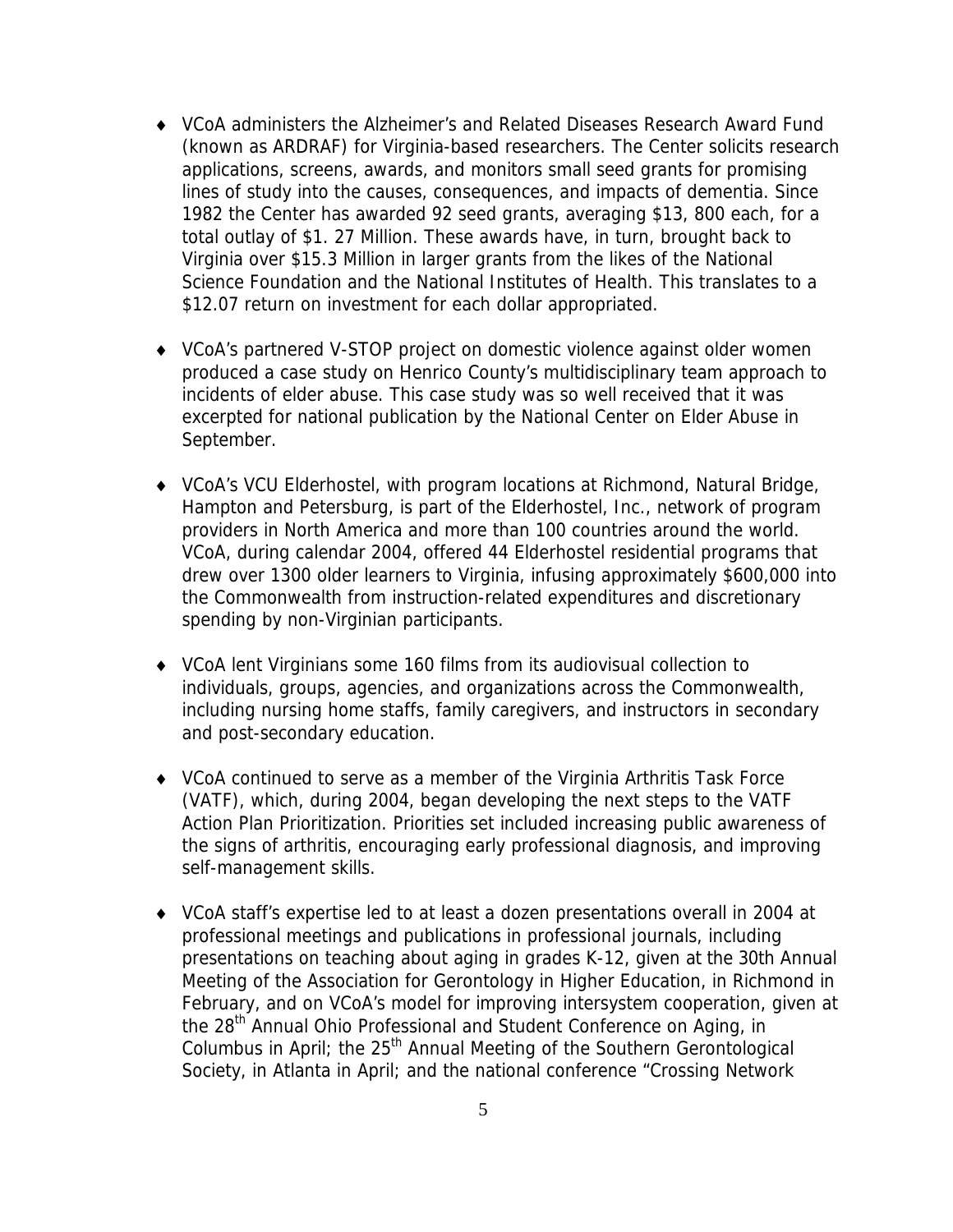- ♦ VCoA administers the Alzheimer's and Related Diseases Research Award Fund (known as ARDRAF) for Virginia-based researchers. The Center solicits research applications, screens, awards, and monitors small seed grants for promising lines of study into the causes, consequences, and impacts of dementia. Since 1982 the Center has awarded 92 seed grants, averaging \$13, 800 each, for a total outlay of \$1. 27 Million. These awards have, in turn, brought back to Virginia over \$15.3 Million in larger grants from the likes of the National Science Foundation and the National Institutes of Health. This translates to a \$12.07 return on investment for each dollar appropriated.
- ♦ VCoA's partnered V-STOP project on domestic violence against older women produced a case study on Henrico County's multidisciplinary team approach to incidents of elder abuse. This case study was so well received that it was excerpted for national publication by the National Center on Elder Abuse in September.
- ♦ VCoA's VCU Elderhostel, with program locations at Richmond, Natural Bridge, Hampton and Petersburg, is part of the Elderhostel, Inc., network of program providers in North America and more than 100 countries around the world. VCoA, during calendar 2004, offered 44 Elderhostel residential programs that drew over 1300 older learners to Virginia, infusing approximately \$600,000 into the Commonwealth from instruction-related expenditures and discretionary spending by non-Virginian participants.
- ♦ VCoA lent Virginians some 160 films from its audiovisual collection to individuals, groups, agencies, and organizations across the Commonwealth, including nursing home staffs, family caregivers, and instructors in secondary and post-secondary education.
- ♦ VCoA continued to serve as a member of the Virginia Arthritis Task Force (VATF), which, during 2004, began developing the next steps to the VATF Action Plan Prioritization. Priorities set included increasing public awareness of the signs of arthritis, encouraging early professional diagnosis, and improving self-management skills.
- ♦ VCoA staff's expertise led to at least a dozen presentations overall in 2004 at professional meetings and publications in professional journals, including presentations on teaching about aging in grades K-12, given at the 30th Annual Meeting of the Association for Gerontology in Higher Education, in Richmond in February, and on VCoA's model for improving intersystem cooperation, given at the 28<sup>th</sup> Annual Ohio Professional and Student Conference on Aging, in Columbus in April; the 25<sup>th</sup> Annual Meeting of the Southern Gerontological Society, in Atlanta in April; and the national conference "Crossing Network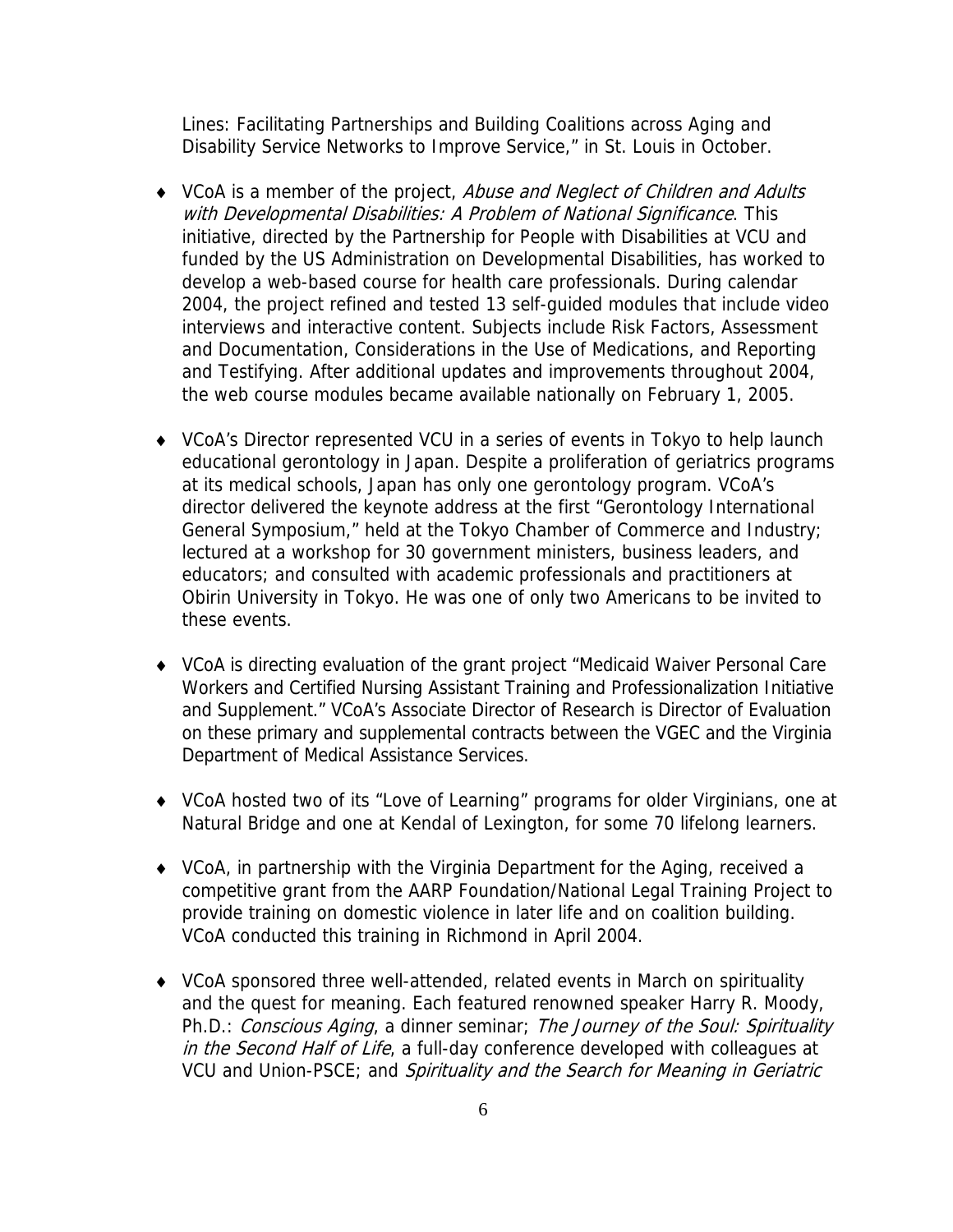Lines: Facilitating Partnerships and Building Coalitions across Aging and Disability Service Networks to Improve Service," in St. Louis in October.

- VCoA is a member of the project, Abuse and Neglect of Children and Adults with Developmental Disabilities: A Problem of National Significance. This initiative, directed by the Partnership for People with Disabilities at VCU and funded by the US Administration on Developmental Disabilities, has worked to develop a web-based course for health care professionals. During calendar 2004, the project refined and tested 13 self-guided modules that include video interviews and interactive content. Subjects include Risk Factors, Assessment and Documentation, Considerations in the Use of Medications, and Reporting and Testifying. After additional updates and improvements throughout 2004, the web course modules became available nationally on February 1, 2005.
- ♦ VCoA's Director represented VCU in a series of events in Tokyo to help launch educational gerontology in Japan. Despite a proliferation of geriatrics programs at its medical schools, Japan has only one gerontology program. VCoA's director delivered the keynote address at the first "Gerontology International General Symposium," held at the Tokyo Chamber of Commerce and Industry; lectured at a workshop for 30 government ministers, business leaders, and educators; and consulted with academic professionals and practitioners at Obirin University in Tokyo. He was one of only two Americans to be invited to these events.
- ♦ VCoA is directing evaluation of the grant project "Medicaid Waiver Personal Care Workers and Certified Nursing Assistant Training and Professionalization Initiative and Supplement." VCoA's Associate Director of Research is Director of Evaluation on these primary and supplemental contracts between the VGEC and the Virginia Department of Medical Assistance Services.
- ♦ VCoA hosted two of its "Love of Learning" programs for older Virginians, one at Natural Bridge and one at Kendal of Lexington, for some 70 lifelong learners.
- ♦ VCoA, in partnership with the Virginia Department for the Aging, received a competitive grant from the AARP Foundation/National Legal Training Project to provide training on domestic violence in later life and on coalition building. VCoA conducted this training in Richmond in April 2004.
- ♦ VCoA sponsored three well-attended, related events in March on spirituality and the quest for meaning. Each featured renowned speaker Harry R. Moody, Ph.D.: Conscious Aging, a dinner seminar; The Journey of the Soul: Spirituality in the Second Half of Life, a full-day conference developed with colleagues at VCU and Union-PSCE; and Spirituality and the Search for Meaning in Geriatric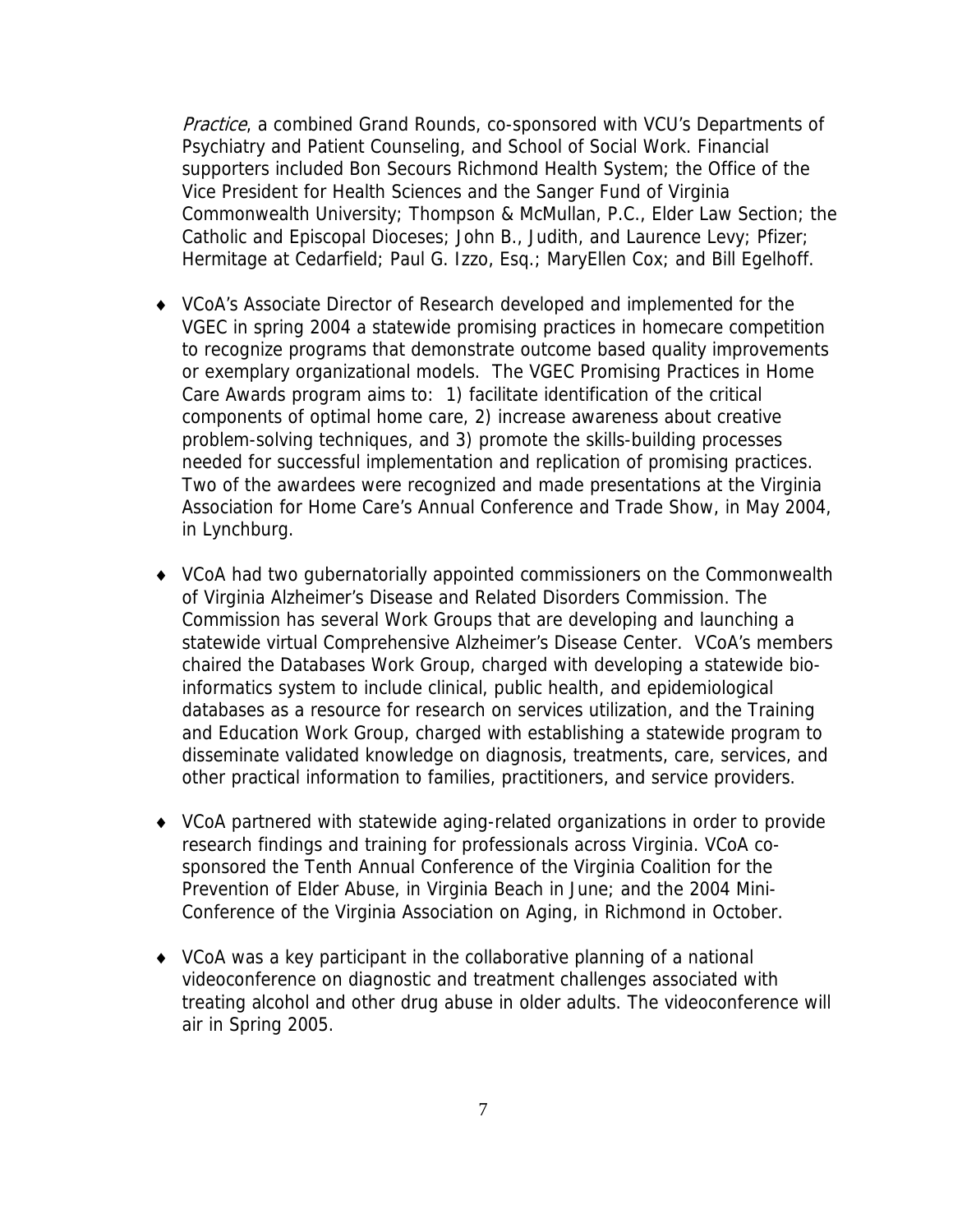Practice, a combined Grand Rounds, co-sponsored with VCU's Departments of Psychiatry and Patient Counseling, and School of Social Work. Financial supporters included Bon Secours Richmond Health System; the Office of the Vice President for Health Sciences and the Sanger Fund of Virginia Commonwealth University; Thompson & McMullan, P.C., Elder Law Section; the Catholic and Episcopal Dioceses; John B., Judith, and Laurence Levy; Pfizer; Hermitage at Cedarfield; Paul G. Izzo, Esq.; MaryEllen Cox; and Bill Egelhoff.

- ♦ VCoA's Associate Director of Research developed and implemented for the VGEC in spring 2004 a statewide promising practices in homecare competition to recognize programs that demonstrate outcome based quality improvements or exemplary organizational models. The VGEC Promising Practices in Home Care Awards program aims to: 1) facilitate identification of the critical components of optimal home care, 2) increase awareness about creative problem-solving techniques, and 3) promote the skills-building processes needed for successful implementation and replication of promising practices. Two of the awardees were recognized and made presentations at the Virginia Association for Home Care's Annual Conference and Trade Show, in May 2004, in Lynchburg.
- ♦ VCoA had two gubernatorially appointed commissioners on the Commonwealth of Virginia Alzheimer's Disease and Related Disorders Commission. The Commission has several Work Groups that are developing and launching a statewide virtual Comprehensive Alzheimer's Disease Center. VCoA's members chaired the Databases Work Group, charged with developing a statewide bioinformatics system to include clinical, public health, and epidemiological databases as a resource for research on services utilization, and the Training and Education Work Group, charged with establishing a statewide program to disseminate validated knowledge on diagnosis, treatments, care, services, and other practical information to families, practitioners, and service providers.
- ♦ VCoA partnered with statewide aging-related organizations in order to provide research findings and training for professionals across Virginia. VCoA cosponsored the Tenth Annual Conference of the Virginia Coalition for the Prevention of Elder Abuse, in Virginia Beach in June; and the 2004 Mini-Conference of the Virginia Association on Aging, in Richmond in October.
- ♦ VCoA was a key participant in the collaborative planning of a national videoconference on diagnostic and treatment challenges associated with treating alcohol and other drug abuse in older adults. The videoconference will air in Spring 2005.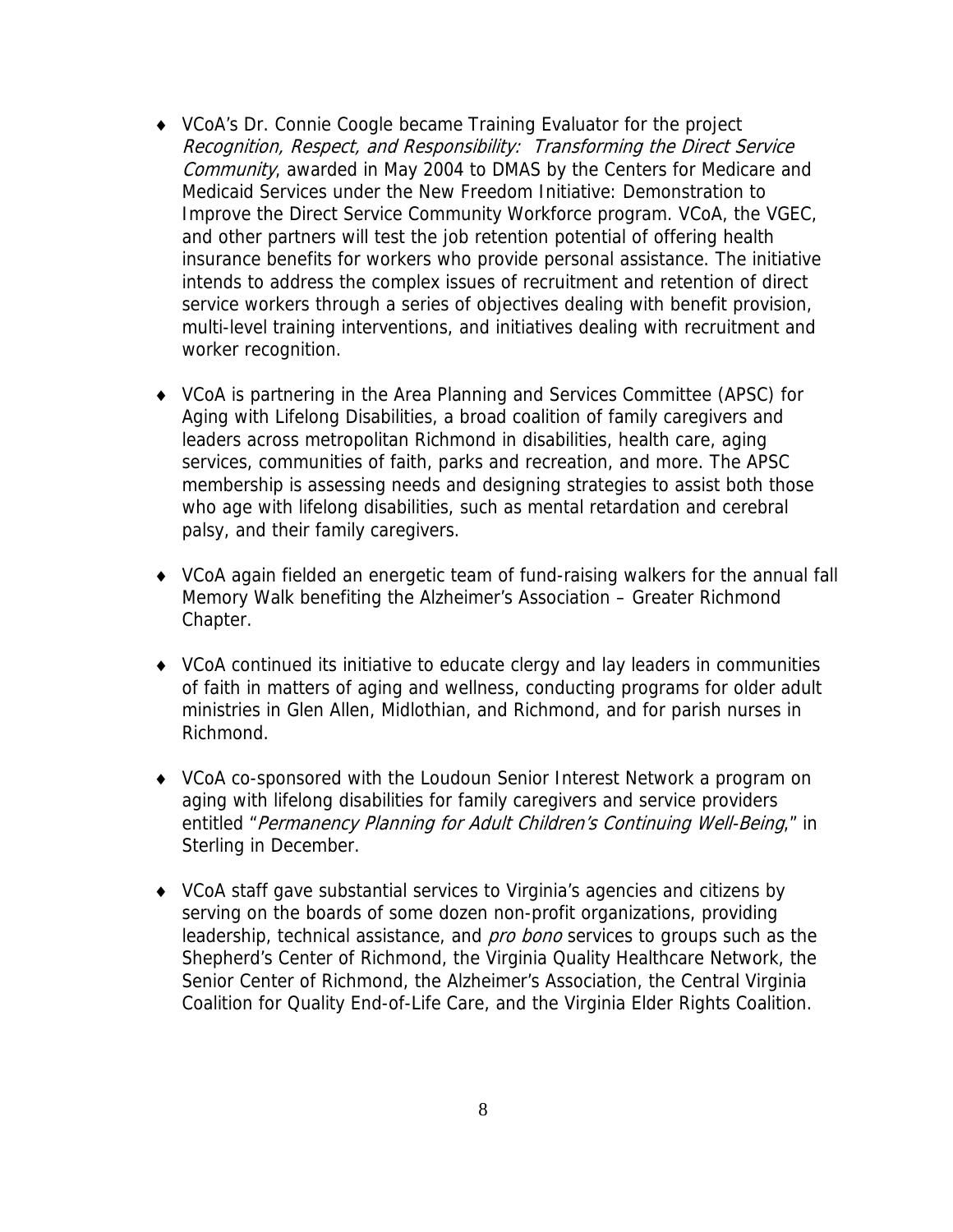- ♦ VCoA's Dr. Connie Coogle became Training Evaluator for the project Recognition, Respect, and Responsibility: Transforming the Direct Service Community, awarded in May 2004 to DMAS by the Centers for Medicare and Medicaid Services under the New Freedom Initiative: Demonstration to Improve the Direct Service Community Workforce program. VCoA, the VGEC, and other partners will test the job retention potential of offering health insurance benefits for workers who provide personal assistance. The initiative intends to address the complex issues of recruitment and retention of direct service workers through a series of objectives dealing with benefit provision, multi-level training interventions, and initiatives dealing with recruitment and worker recognition.
- ♦ VCoA is partnering in the Area Planning and Services Committee (APSC) for Aging with Lifelong Disabilities, a broad coalition of family caregivers and leaders across metropolitan Richmond in disabilities, health care, aging services, communities of faith, parks and recreation, and more. The APSC membership is assessing needs and designing strategies to assist both those who age with lifelong disabilities, such as mental retardation and cerebral palsy, and their family caregivers.
- ♦ VCoA again fielded an energetic team of fund-raising walkers for the annual fall Memory Walk benefiting the Alzheimer's Association – Greater Richmond Chapter.
- ♦ VCoA continued its initiative to educate clergy and lay leaders in communities of faith in matters of aging and wellness, conducting programs for older adult ministries in Glen Allen, Midlothian, and Richmond, and for parish nurses in Richmond.
- ♦ VCoA co-sponsored with the Loudoun Senior Interest Network a program on aging with lifelong disabilities for family caregivers and service providers entitled "Permanency Planning for Adult Children's Continuing Well-Being," in Sterling in December.
- ♦ VCoA staff gave substantial services to Virginia's agencies and citizens by serving on the boards of some dozen non-profit organizations, providing leadership, technical assistance, and *pro bono* services to groups such as the Shepherd's Center of Richmond, the Virginia Quality Healthcare Network, the Senior Center of Richmond, the Alzheimer's Association, the Central Virginia Coalition for Quality End-of-Life Care, and the Virginia Elder Rights Coalition.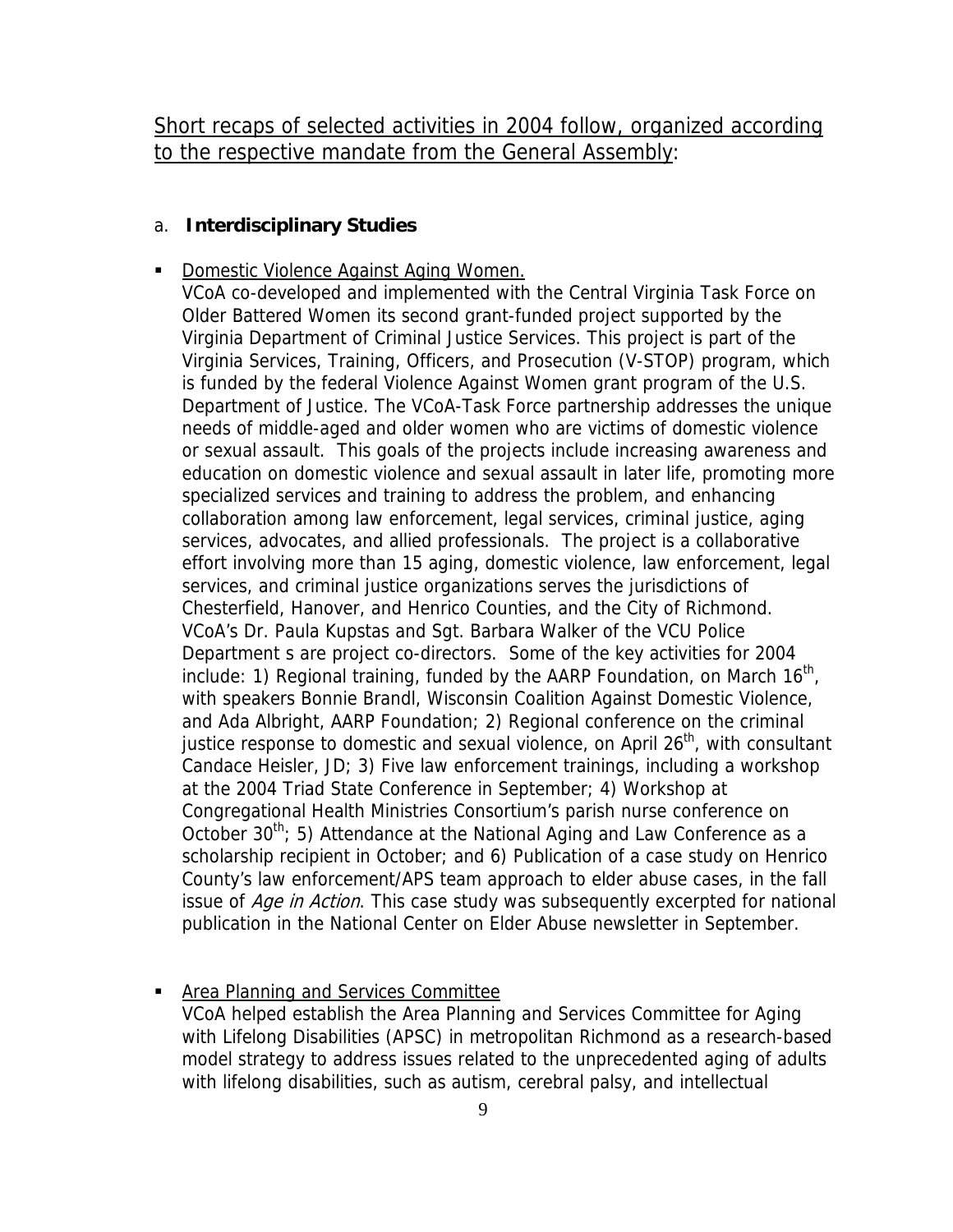Short recaps of selected activities in 2004 follow, organized according to the respective mandate from the General Assembly:

#### a. **Interdisciplinary Studies**

**Domestic Violence Against Aging Women.** 

VCoA co-developed and implemented with the Central Virginia Task Force on Older Battered Women its second grant-funded project supported by the Virginia Department of Criminal Justice Services. This project is part of the Virginia Services, Training, Officers, and Prosecution (V-STOP) program, which is funded by the federal Violence Against Women grant program of the U.S. Department of Justice. The VCoA-Task Force partnership addresses the unique needs of middle-aged and older women who are victims of domestic violence or sexual assault. This goals of the projects include increasing awareness and education on domestic violence and sexual assault in later life, promoting more specialized services and training to address the problem, and enhancing collaboration among law enforcement, legal services, criminal justice, aging services, advocates, and allied professionals. The project is a collaborative effort involving more than 15 aging, domestic violence, law enforcement, legal services, and criminal justice organizations serves the jurisdictions of Chesterfield, Hanover, and Henrico Counties, and the City of Richmond. VCoA's Dr. Paula Kupstas and Sgt. Barbara Walker of the VCU Police Department s are project co-directors. Some of the key activities for 2004 include: 1) Regional training, funded by the AARP Foundation, on March  $16<sup>th</sup>$ , with speakers Bonnie Brandl, Wisconsin Coalition Against Domestic Violence, and Ada Albright, AARP Foundation; 2) Regional conference on the criminal justice response to domestic and sexual violence, on April  $26<sup>th</sup>$ , with consultant Candace Heisler, JD; 3) Five law enforcement trainings, including a workshop at the 2004 Triad State Conference in September; 4) Workshop at Congregational Health Ministries Consortium's parish nurse conference on October 30<sup>th</sup>; 5) Attendance at the National Aging and Law Conference as a scholarship recipient in October; and 6) Publication of a case study on Henrico County's law enforcement/APS team approach to elder abuse cases, in the fall issue of Age in Action. This case study was subsequently excerpted for national publication in the National Center on Elder Abuse newsletter in September.

**Area Planning and Services Committee** VCoA helped establish the Area Planning and Services Committee for Aging with Lifelong Disabilities (APSC) in metropolitan Richmond as a research-based model strategy to address issues related to the unprecedented aging of adults with lifelong disabilities, such as autism, cerebral palsy, and intellectual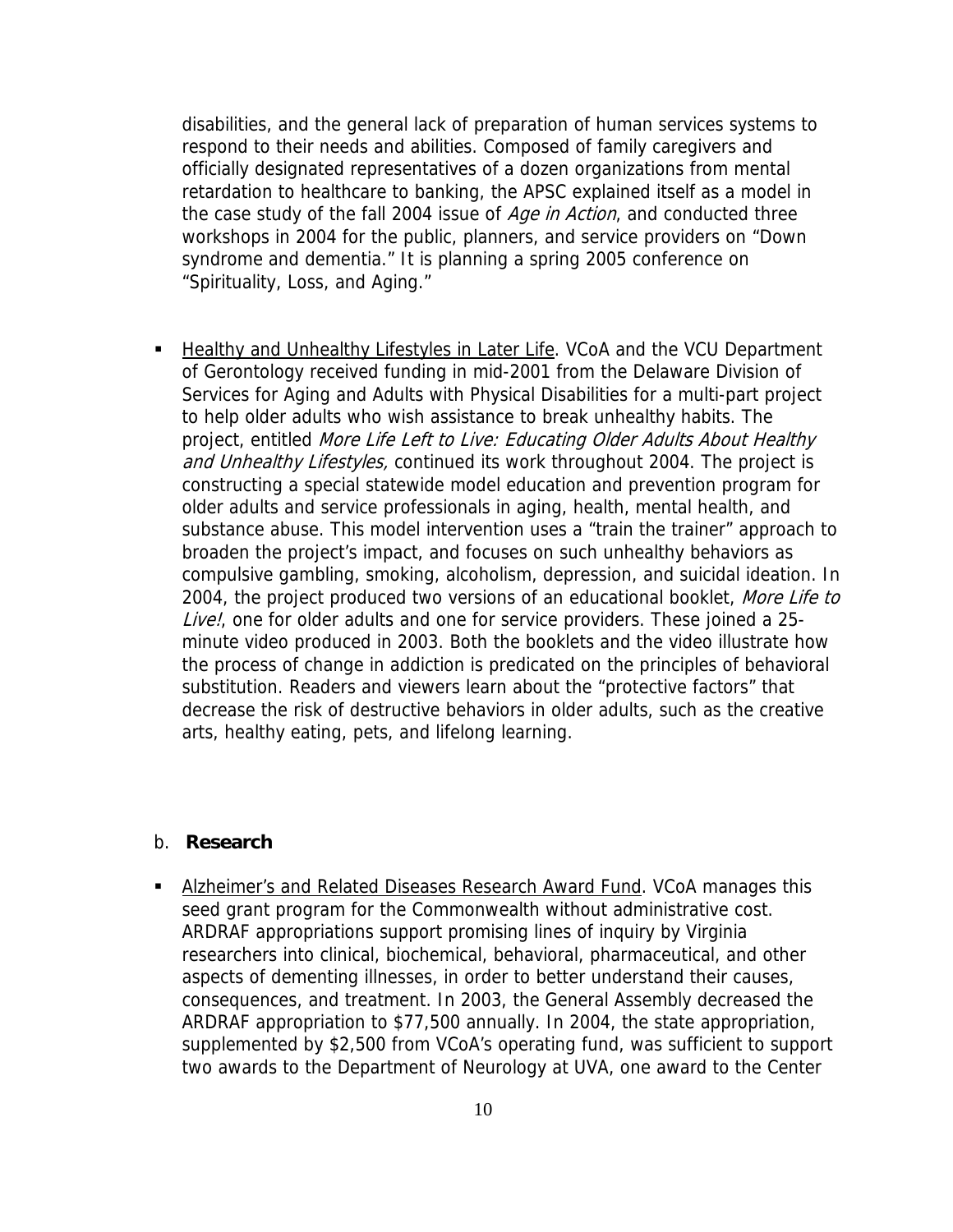disabilities, and the general lack of preparation of human services systems to respond to their needs and abilities. Composed of family caregivers and officially designated representatives of a dozen organizations from mental retardation to healthcare to banking, the APSC explained itself as a model in the case study of the fall 2004 issue of Age in Action, and conducted three workshops in 2004 for the public, planners, and service providers on "Down syndrome and dementia." It is planning a spring 2005 conference on "Spirituality, Loss, and Aging."

**Healthy and Unhealthy Lifestyles in Later Life. VCoA and the VCU Department** of Gerontology received funding in mid-2001 from the Delaware Division of Services for Aging and Adults with Physical Disabilities for a multi-part project to help older adults who wish assistance to break unhealthy habits. The project, entitled More Life Left to Live: Educating Older Adults About Healthy and Unhealthy Lifestyles, continued its work throughout 2004. The project is constructing a special statewide model education and prevention program for older adults and service professionals in aging, health, mental health, and substance abuse. This model intervention uses a "train the trainer" approach to broaden the project's impact, and focuses on such unhealthy behaviors as compulsive gambling, smoking, alcoholism, depression, and suicidal ideation. In 2004, the project produced two versions of an educational booklet, More Life to Live!, one for older adults and one for service providers. These joined a 25minute video produced in 2003. Both the booklets and the video illustrate how the process of change in addiction is predicated on the principles of behavioral substitution. Readers and viewers learn about the "protective factors" that decrease the risk of destructive behaviors in older adults, such as the creative arts, healthy eating, pets, and lifelong learning.

#### b. **Research**

**Alzheimer's and Related Diseases Research Award Fund. VCoA manages this** seed grant program for the Commonwealth without administrative cost. ARDRAF appropriations support promising lines of inquiry by Virginia researchers into clinical, biochemical, behavioral, pharmaceutical, and other aspects of dementing illnesses, in order to better understand their causes, consequences, and treatment. In 2003, the General Assembly decreased the ARDRAF appropriation to \$77,500 annually. In 2004, the state appropriation, supplemented by \$2,500 from VCoA's operating fund, was sufficient to support two awards to the Department of Neurology at UVA, one award to the Center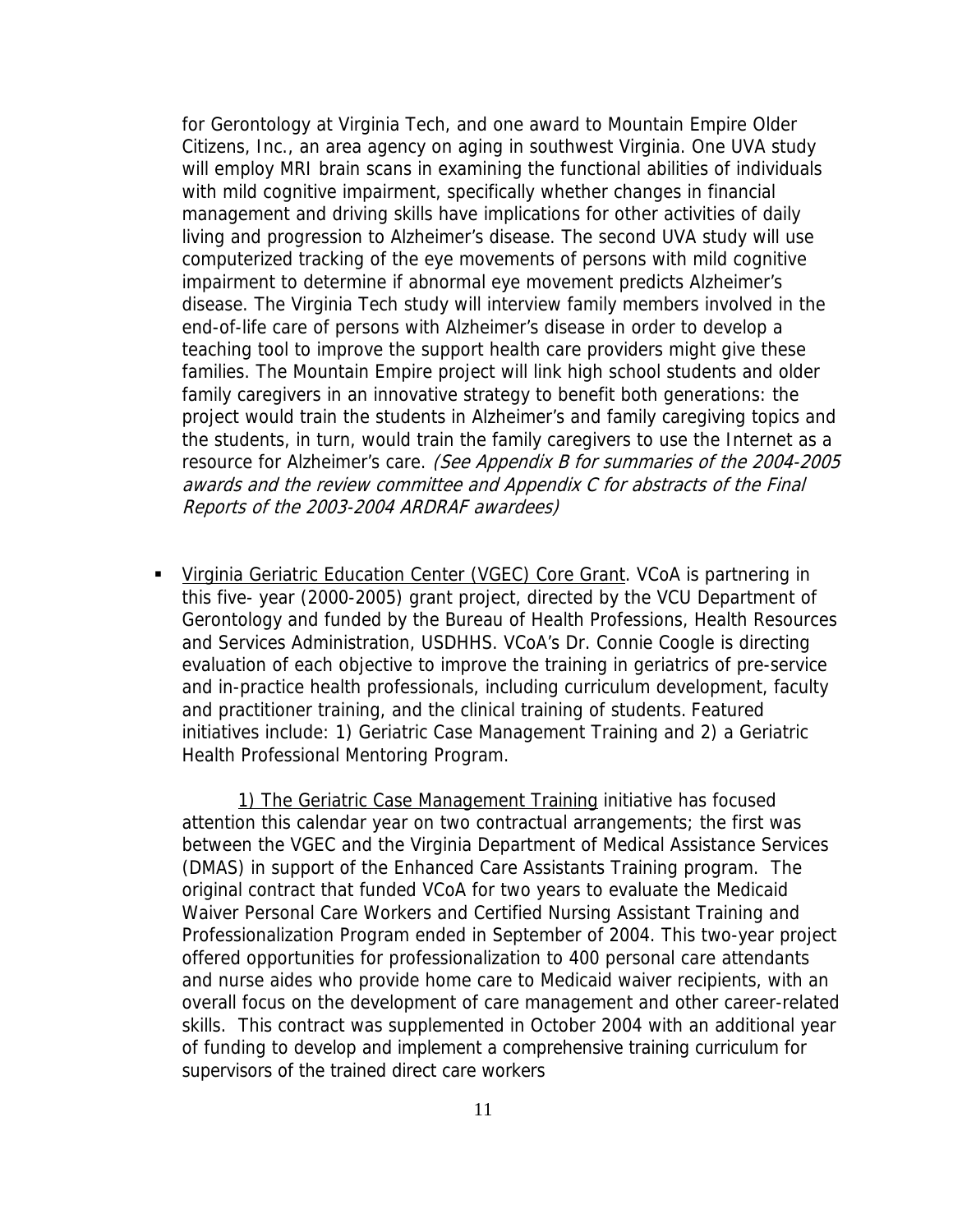for Gerontology at Virginia Tech, and one award to Mountain Empire Older Citizens, Inc., an area agency on aging in southwest Virginia. One UVA study will employ MRI brain scans in examining the functional abilities of individuals with mild cognitive impairment, specifically whether changes in financial management and driving skills have implications for other activities of daily living and progression to Alzheimer's disease. The second UVA study will use computerized tracking of the eye movements of persons with mild cognitive impairment to determine if abnormal eye movement predicts Alzheimer's disease. The Virginia Tech study will interview family members involved in the end-of-life care of persons with Alzheimer's disease in order to develop a teaching tool to improve the support health care providers might give these families. The Mountain Empire project will link high school students and older family caregivers in an innovative strategy to benefit both generations: the project would train the students in Alzheimer's and family caregiving topics and the students, in turn, would train the family caregivers to use the Internet as a resource for Alzheimer's care. (See Appendix B for summaries of the 2004-2005 awards and the review committee and Appendix C for abstracts of the Final Reports of the 2003-2004 ARDRAF awardees)

 Virginia Geriatric Education Center (VGEC) Core Grant. VCoA is partnering in this five- year (2000-2005) grant project, directed by the VCU Department of Gerontology and funded by the Bureau of Health Professions, Health Resources and Services Administration, USDHHS. VCoA's Dr. Connie Coogle is directing evaluation of each objective to improve the training in geriatrics of pre-service and in-practice health professionals, including curriculum development, faculty and practitioner training, and the clinical training of students. Featured initiatives include: 1) Geriatric Case Management Training and 2) a Geriatric Health Professional Mentoring Program.

1) The Geriatric Case Management Training initiative has focused attention this calendar year on two contractual arrangements; the first was between the VGEC and the Virginia Department of Medical Assistance Services (DMAS) in support of the Enhanced Care Assistants Training program. The original contract that funded VCoA for two years to evaluate the Medicaid Waiver Personal Care Workers and Certified Nursing Assistant Training and Professionalization Program ended in September of 2004. This two-year project offered opportunities for professionalization to 400 personal care attendants and nurse aides who provide home care to Medicaid waiver recipients, with an overall focus on the development of care management and other career-related skills. This contract was supplemented in October 2004 with an additional year of funding to develop and implement a comprehensive training curriculum for supervisors of the trained direct care workers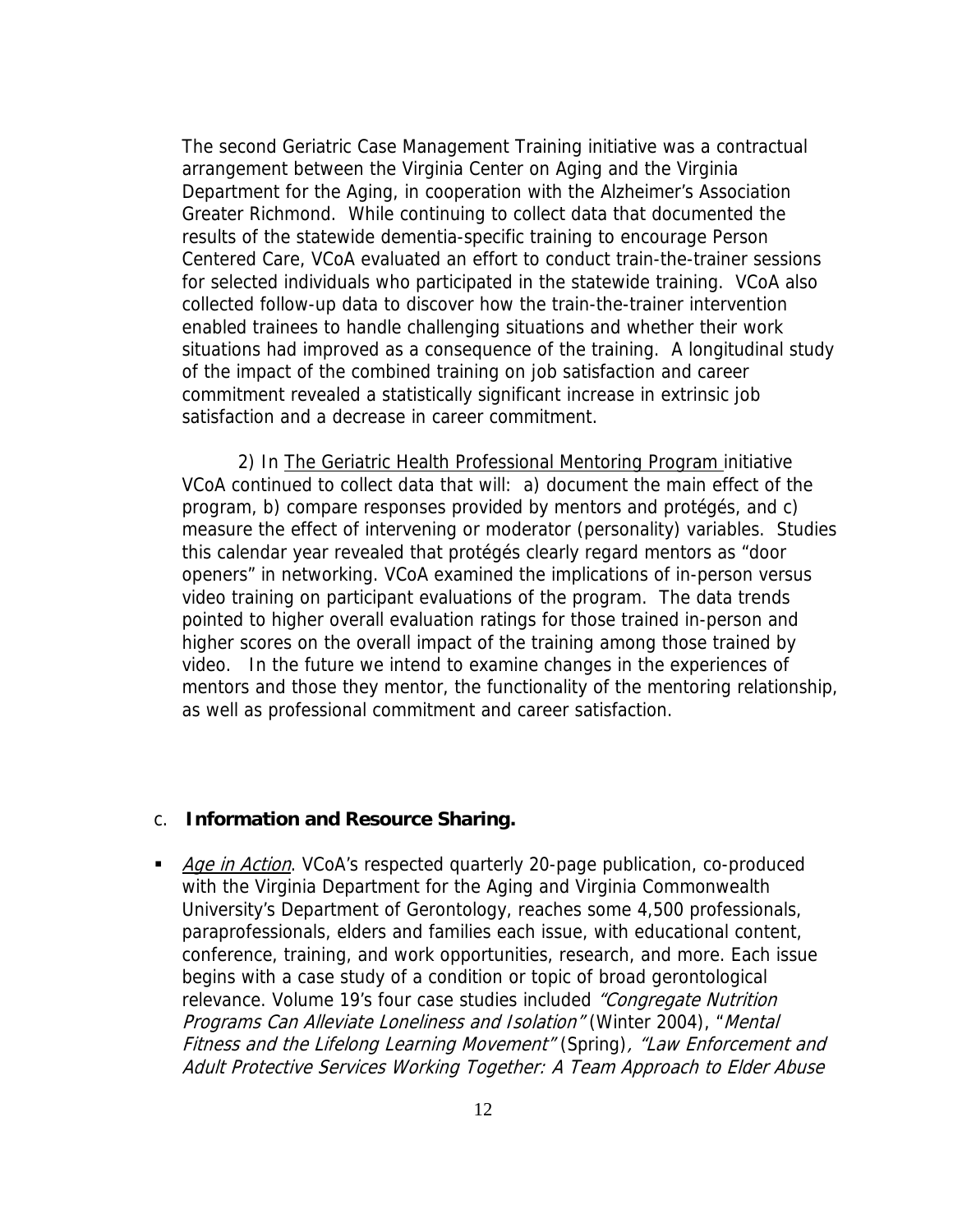The second Geriatric Case Management Training initiative was a contractual arrangement between the Virginia Center on Aging and the Virginia Department for the Aging, in cooperation with the Alzheimer's Association Greater Richmond. While continuing to collect data that documented the results of the statewide dementia-specific training to encourage Person Centered Care, VCoA evaluated an effort to conduct train-the-trainer sessions for selected individuals who participated in the statewide training. VCoA also collected follow-up data to discover how the train-the-trainer intervention enabled trainees to handle challenging situations and whether their work situations had improved as a consequence of the training. A longitudinal study of the impact of the combined training on job satisfaction and career commitment revealed a statistically significant increase in extrinsic job satisfaction and a decrease in career commitment.

2) In The Geriatric Health Professional Mentoring Program initiative VCoA continued to collect data that will: a) document the main effect of the program, b) compare responses provided by mentors and protégés, and c) measure the effect of intervening or moderator (personality) variables. Studies this calendar year revealed that protégés clearly regard mentors as "door openers" in networking. VCoA examined the implications of in-person versus video training on participant evaluations of the program. The data trends pointed to higher overall evaluation ratings for those trained in-person and higher scores on the overall impact of the training among those trained by video. In the future we intend to examine changes in the experiences of mentors and those they mentor, the functionality of the mentoring relationship, as well as professional commitment and career satisfaction.

#### c. **Information and Resource Sharing.**

Age in Action. VCoA's respected quarterly 20-page publication, co-produced with the Virginia Department for the Aging and Virginia Commonwealth University's Department of Gerontology, reaches some 4,500 professionals, paraprofessionals, elders and families each issue, with educational content, conference, training, and work opportunities, research, and more. Each issue begins with a case study of a condition or topic of broad gerontological relevance. Volume 19's four case studies included "Congregate Nutrition Programs Can Alleviate Loneliness and Isolation" (Winter 2004), "Mental Fitness and the Lifelong Learning Movement" (Spring), "Law Enforcement and Adult Protective Services Working Together: A Team Approach to Elder Abuse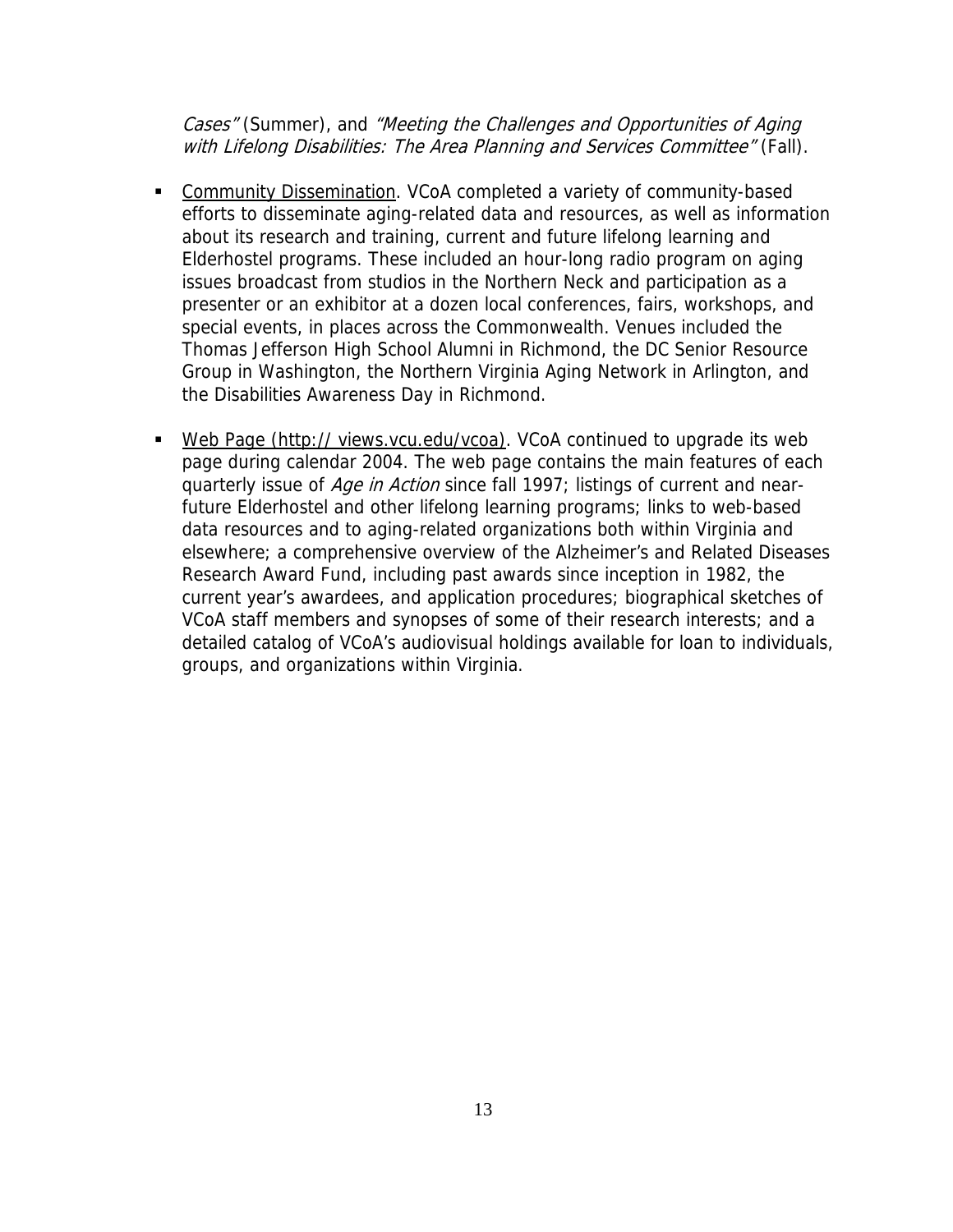Cases" (Summer), and "Meeting the Challenges and Opportunities of Aging with Lifelong Disabilities: The Area Planning and Services Committee" (Fall).

- Community Dissemination. VCoA completed a variety of community-based efforts to disseminate aging-related data and resources, as well as information about its research and training, current and future lifelong learning and Elderhostel programs. These included an hour-long radio program on aging issues broadcast from studios in the Northern Neck and participation as a presenter or an exhibitor at a dozen local conferences, fairs, workshops, and special events, in places across the Commonwealth. Venues included the Thomas Jefferson High School Alumni in Richmond, the DC Senior Resource Group in Washington, the Northern Virginia Aging Network in Arlington, and the Disabilities Awareness Day in Richmond.
- Web Page (http:// views.vcu.edu/vcoa). VCoA continued to upgrade its web page during calendar 2004. The web page contains the main features of each quarterly issue of Age in Action since fall 1997; listings of current and nearfuture Elderhostel and other lifelong learning programs; links to web-based data resources and to aging-related organizations both within Virginia and elsewhere; a comprehensive overview of the Alzheimer's and Related Diseases Research Award Fund, including past awards since inception in 1982, the current year's awardees, and application procedures; biographical sketches of VCoA staff members and synopses of some of their research interests; and a detailed catalog of VCoA's audiovisual holdings available for loan to individuals, groups, and organizations within Virginia.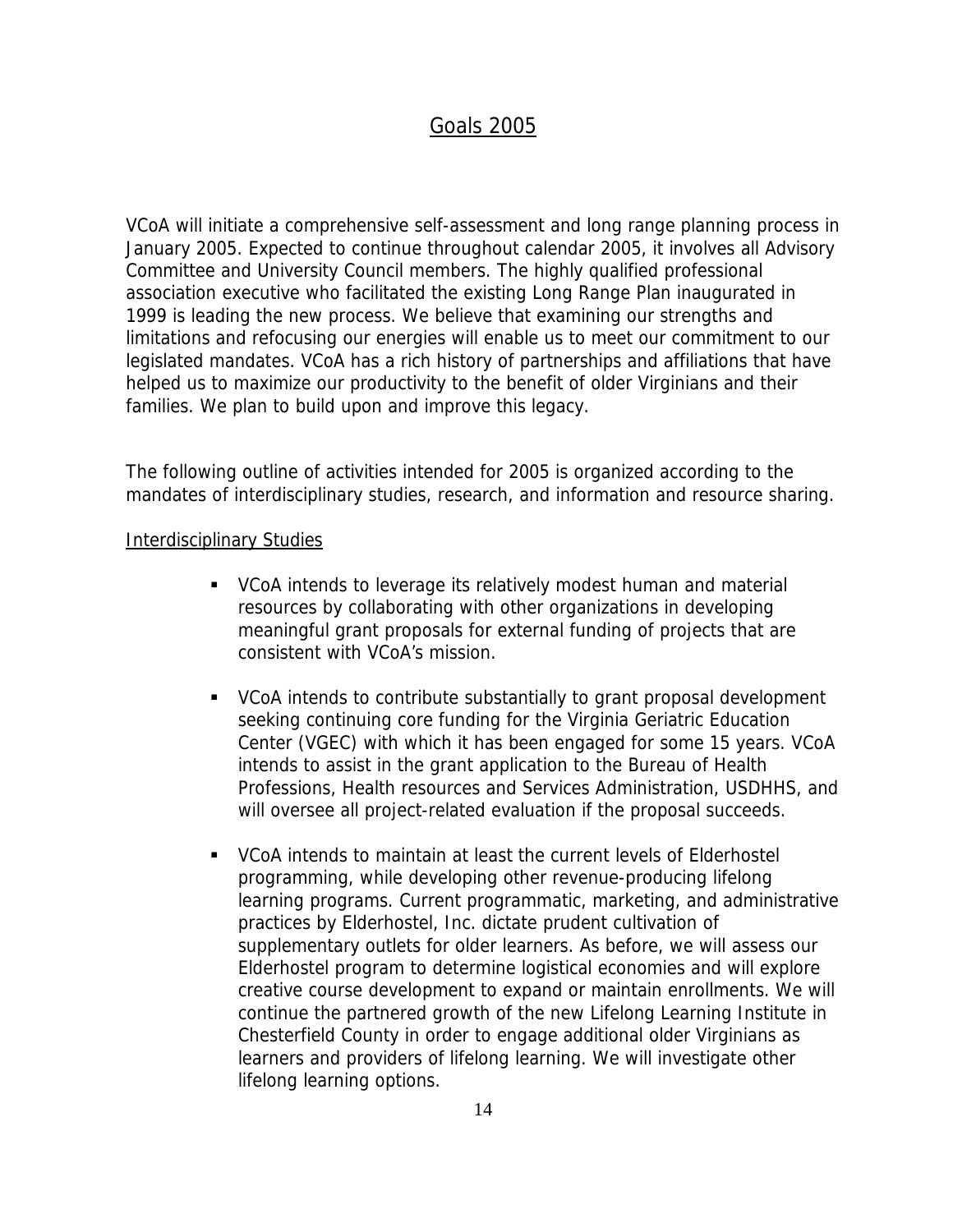## Goals 2005

VCoA will initiate a comprehensive self-assessment and long range planning process in January 2005. Expected to continue throughout calendar 2005, it involves all Advisory Committee and University Council members. The highly qualified professional association executive who facilitated the existing Long Range Plan inaugurated in 1999 is leading the new process. We believe that examining our strengths and limitations and refocusing our energies will enable us to meet our commitment to our legislated mandates. VCoA has a rich history of partnerships and affiliations that have helped us to maximize our productivity to the benefit of older Virginians and their families. We plan to build upon and improve this legacy.

The following outline of activities intended for 2005 is organized according to the mandates of interdisciplinary studies, research, and information and resource sharing.

#### Interdisciplinary Studies

- VCoA intends to leverage its relatively modest human and material resources by collaborating with other organizations in developing meaningful grant proposals for external funding of projects that are consistent with VCoA's mission.
- VCoA intends to contribute substantially to grant proposal development seeking continuing core funding for the Virginia Geriatric Education Center (VGEC) with which it has been engaged for some 15 years. VCoA intends to assist in the grant application to the Bureau of Health Professions, Health resources and Services Administration, USDHHS, and will oversee all project-related evaluation if the proposal succeeds.
- VCoA intends to maintain at least the current levels of Elderhostel programming, while developing other revenue-producing lifelong learning programs. Current programmatic, marketing, and administrative practices by Elderhostel, Inc. dictate prudent cultivation of supplementary outlets for older learners. As before, we will assess our Elderhostel program to determine logistical economies and will explore creative course development to expand or maintain enrollments. We will continue the partnered growth of the new Lifelong Learning Institute in Chesterfield County in order to engage additional older Virginians as learners and providers of lifelong learning. We will investigate other lifelong learning options.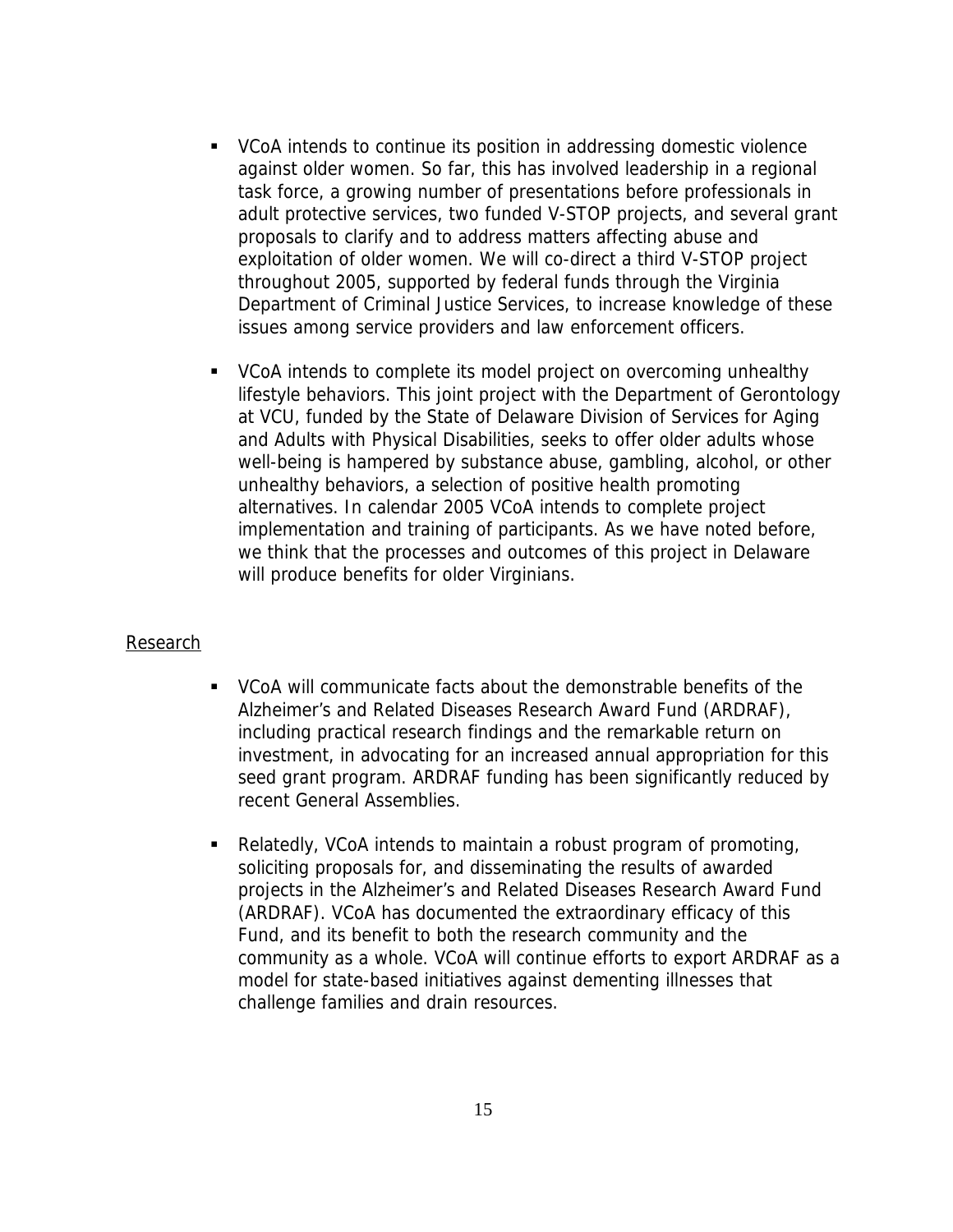- VCoA intends to continue its position in addressing domestic violence against older women. So far, this has involved leadership in a regional task force, a growing number of presentations before professionals in adult protective services, two funded V-STOP projects, and several grant proposals to clarify and to address matters affecting abuse and exploitation of older women. We will co-direct a third V-STOP project throughout 2005, supported by federal funds through the Virginia Department of Criminal Justice Services, to increase knowledge of these issues among service providers and law enforcement officers.
- VCoA intends to complete its model project on overcoming unhealthy lifestyle behaviors. This joint project with the Department of Gerontology at VCU, funded by the State of Delaware Division of Services for Aging and Adults with Physical Disabilities, seeks to offer older adults whose well-being is hampered by substance abuse, gambling, alcohol, or other unhealthy behaviors, a selection of positive health promoting alternatives. In calendar 2005 VCoA intends to complete project implementation and training of participants. As we have noted before, we think that the processes and outcomes of this project in Delaware will produce benefits for older Virginians.

#### Research

- VCoA will communicate facts about the demonstrable benefits of the Alzheimer's and Related Diseases Research Award Fund (ARDRAF), including practical research findings and the remarkable return on investment, in advocating for an increased annual appropriation for this seed grant program. ARDRAF funding has been significantly reduced by recent General Assemblies.
- Relatedly, VCoA intends to maintain a robust program of promoting, soliciting proposals for, and disseminating the results of awarded projects in the Alzheimer's and Related Diseases Research Award Fund (ARDRAF). VCoA has documented the extraordinary efficacy of this Fund, and its benefit to both the research community and the community as a whole. VCoA will continue efforts to export ARDRAF as a model for state-based initiatives against dementing illnesses that challenge families and drain resources.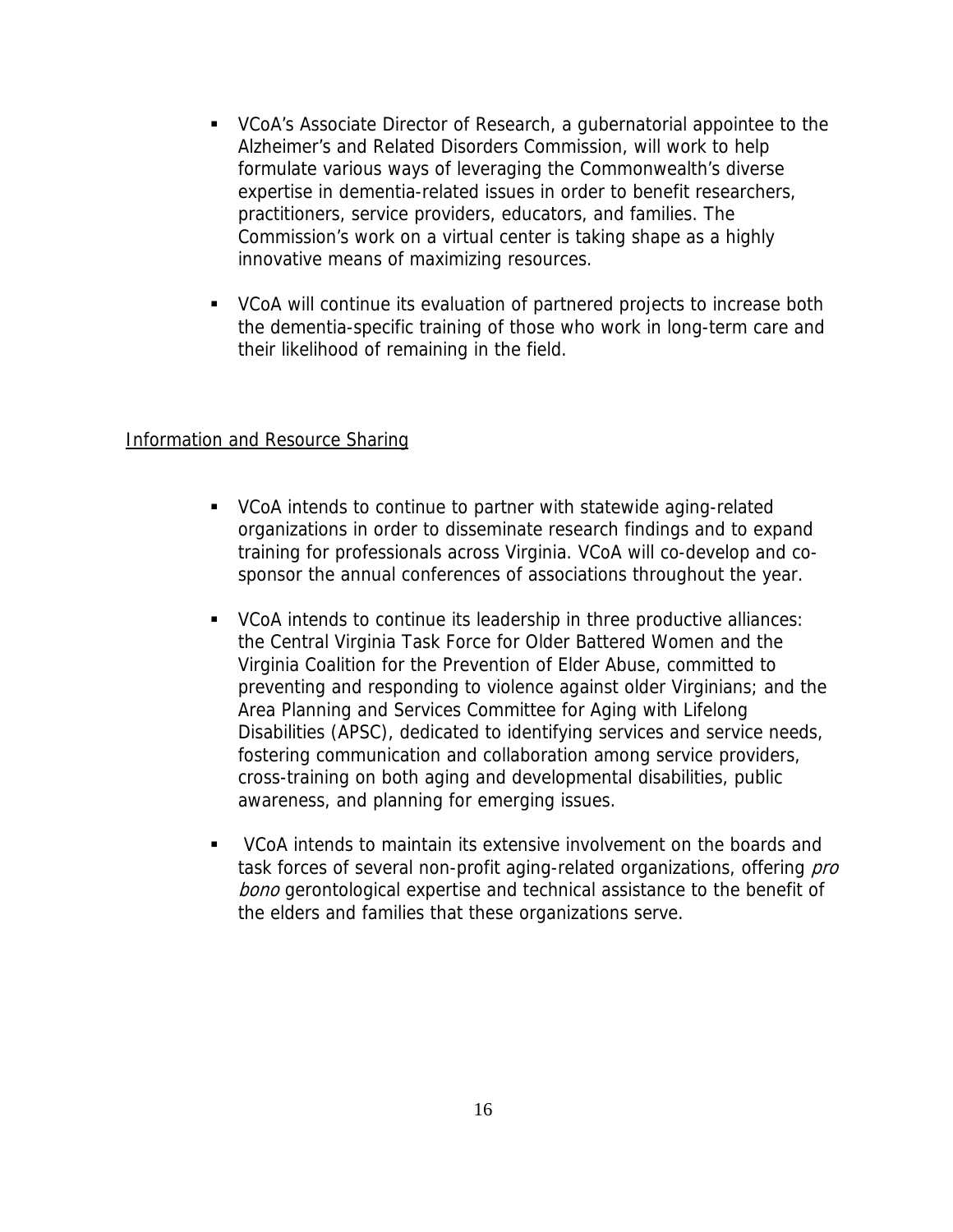- VCoA's Associate Director of Research, a gubernatorial appointee to the Alzheimer's and Related Disorders Commission, will work to help formulate various ways of leveraging the Commonwealth's diverse expertise in dementia-related issues in order to benefit researchers, practitioners, service providers, educators, and families. The Commission's work on a virtual center is taking shape as a highly innovative means of maximizing resources.
- VCoA will continue its evaluation of partnered projects to increase both the dementia-specific training of those who work in long-term care and their likelihood of remaining in the field.

#### Information and Resource Sharing

- VCoA intends to continue to partner with statewide aging-related organizations in order to disseminate research findings and to expand training for professionals across Virginia. VCoA will co-develop and cosponsor the annual conferences of associations throughout the year.
- VCoA intends to continue its leadership in three productive alliances: the Central Virginia Task Force for Older Battered Women and the Virginia Coalition for the Prevention of Elder Abuse, committed to preventing and responding to violence against older Virginians; and the Area Planning and Services Committee for Aging with Lifelong Disabilities (APSC), dedicated to identifying services and service needs, fostering communication and collaboration among service providers, cross-training on both aging and developmental disabilities, public awareness, and planning for emerging issues.
- VCoA intends to maintain its extensive involvement on the boards and task forces of several non-profit aging-related organizations, offering pro bono gerontological expertise and technical assistance to the benefit of the elders and families that these organizations serve.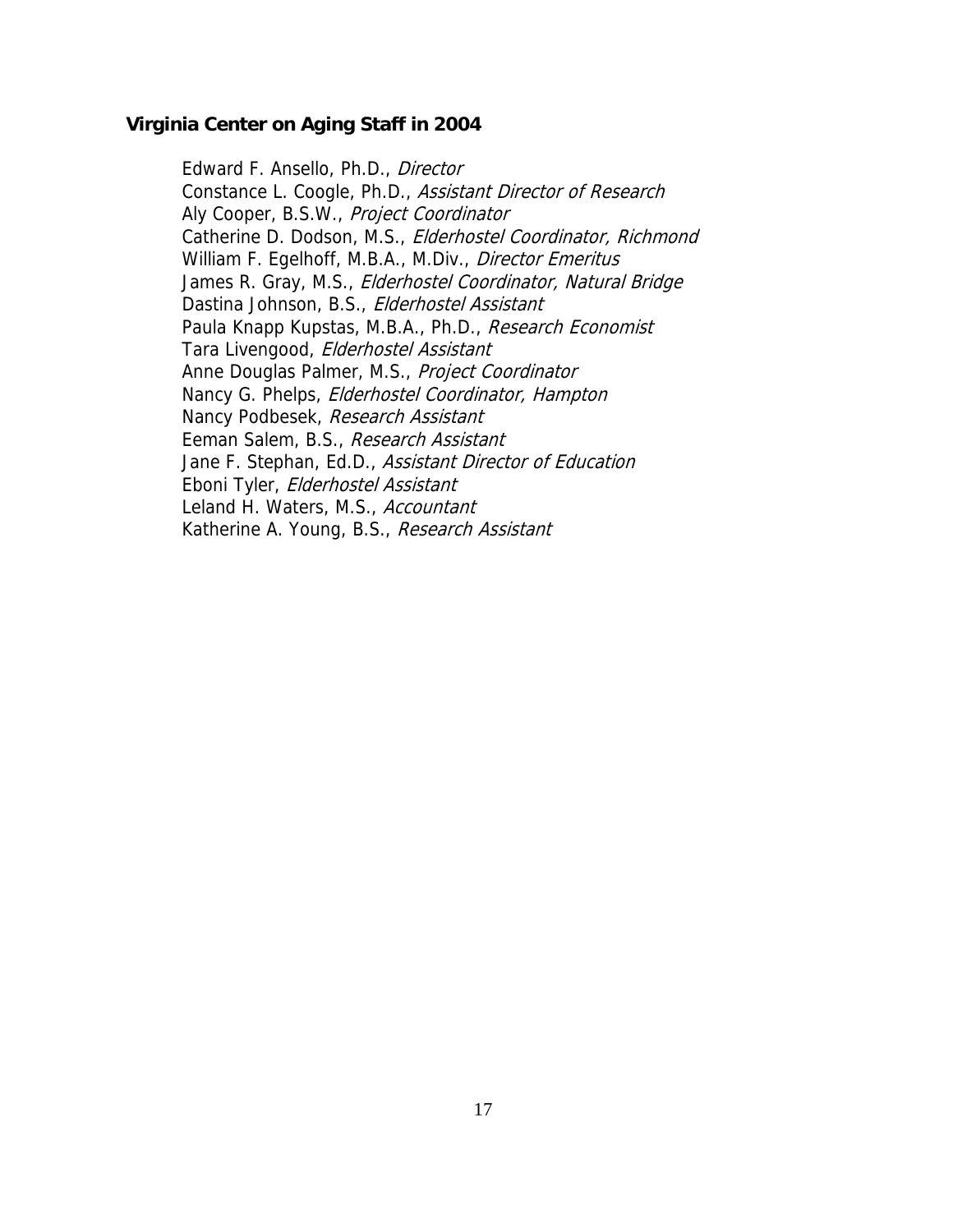#### **Virginia Center on Aging Staff in 2004**

James R. Gray, M.S., *Elderhostel Coordinator, Natural Bridge* Nancy G. Phelps, Elderhostel Coordinator, Hampton Edward F. Ansello, Ph.D., Director Constance L. Coogle, Ph.D., Assistant Director of Research Aly Cooper, B.S.W., Project Coordinator Catherine D. Dodson, M.S., Elderhostel Coordinator, Richmond William F. Egelhoff, M.B.A., M.Div., Director Emeritus Dastina Johnson, B.S., Elderhostel Assistant Paula Knapp Kupstas, M.B.A., Ph.D., Research Economist Tara Livengood, Elderhostel Assistant Anne Douglas Palmer, M.S., Project Coordinator Nancy Podbesek, Research Assistant Eeman Salem, B.S., Research Assistant Jane F. Stephan, Ed.D., Assistant Director of Education Eboni Tyler, Elderhostel Assistant Leland H. Waters, M.S., Accountant Katherine A. Young, B.S., Research Assistant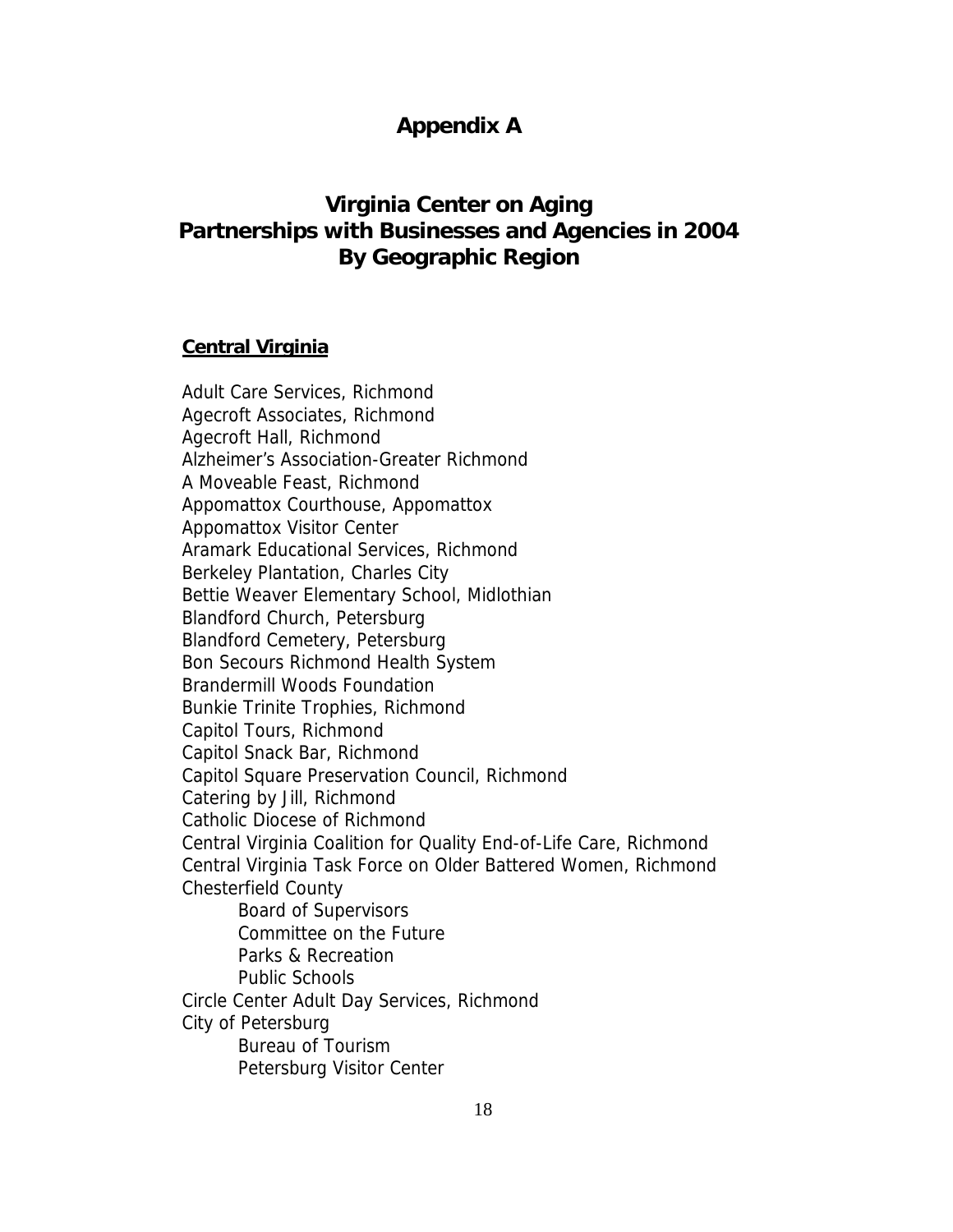## **Appendix A**

## **Virginia Center on Aging Partnerships with Businesses and Agencies in 2004 By Geographic Region**

#### **Central Virginia**

Adult Care Services, Richmond Agecroft Associates, Richmond Agecroft Hall, Richmond Alzheimer's Association-Greater Richmond A Moveable Feast, Richmond Appomattox Courthouse, Appomattox Appomattox Visitor Center Aramark Educational Services, Richmond Berkeley Plantation, Charles City Bettie Weaver Elementary School, Midlothian Blandford Church, Petersburg Blandford Cemetery, Petersburg Bon Secours Richmond Health System Brandermill Woods Foundation Bunkie Trinite Trophies, Richmond Capitol Tours, Richmond Capitol Snack Bar, Richmond Capitol Square Preservation Council, Richmond Catering by Jill, Richmond Catholic Diocese of Richmond Central Virginia Coalition for Quality End-of-Life Care, Richmond Central Virginia Task Force on Older Battered Women, Richmond Chesterfield County Board of Supervisors Committee on the Future Parks & Recreation Public Schools Circle Center Adult Day Services, Richmond City of Petersburg Bureau of Tourism Petersburg Visitor Center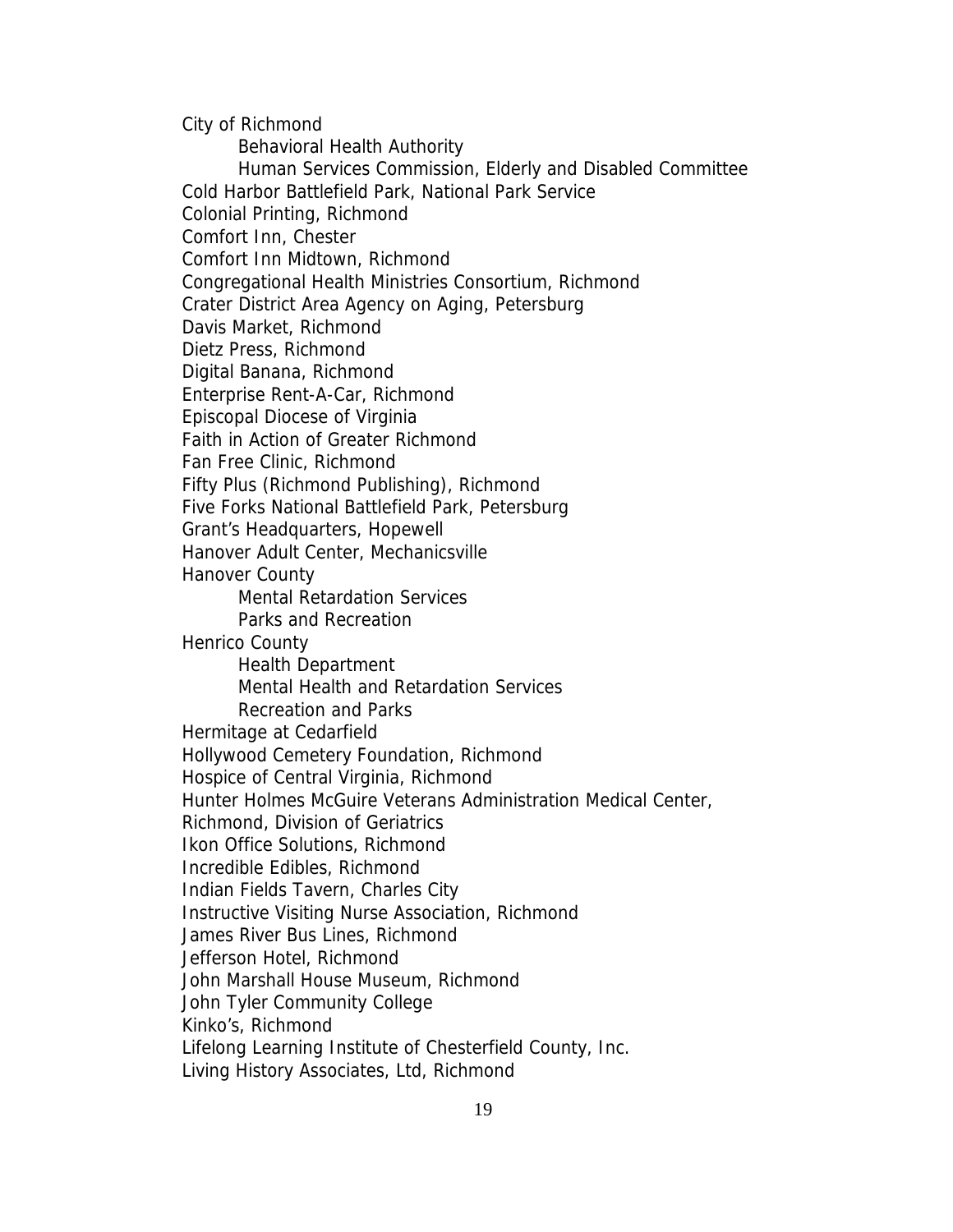City of Richmond

Behavioral Health Authority

 Human Services Commission, Elderly and Disabled Committee Cold Harbor Battlefield Park, National Park Service Colonial Printing, Richmond Comfort Inn, Chester Comfort Inn Midtown, Richmond Congregational Health Ministries Consortium, Richmond Crater District Area Agency on Aging, Petersburg Davis Market, Richmond Dietz Press, Richmond Digital Banana, Richmond Enterprise Rent-A-Car, Richmond Episcopal Diocese of Virginia Faith in Action of Greater Richmond Fan Free Clinic, Richmond Fifty Plus (Richmond Publishing), Richmond Five Forks National Battlefield Park, Petersburg Grant's Headquarters, Hopewell Hanover Adult Center, Mechanicsville Hanover County Mental Retardation Services Parks and Recreation Henrico County Health Department Mental Health and Retardation Services Recreation and Parks Hermitage at Cedarfield Hollywood Cemetery Foundation, Richmond Hospice of Central Virginia, Richmond Hunter Holmes McGuire Veterans Administration Medical Center, Richmond, Division of Geriatrics Ikon Office Solutions, Richmond Incredible Edibles, Richmond Indian Fields Tavern, Charles City Instructive Visiting Nurse Association, Richmond James River Bus Lines, Richmond Jefferson Hotel, Richmond John Marshall House Museum, Richmond John Tyler Community College Kinko's, Richmond Lifelong Learning Institute of Chesterfield County, Inc. Living History Associates, Ltd, Richmond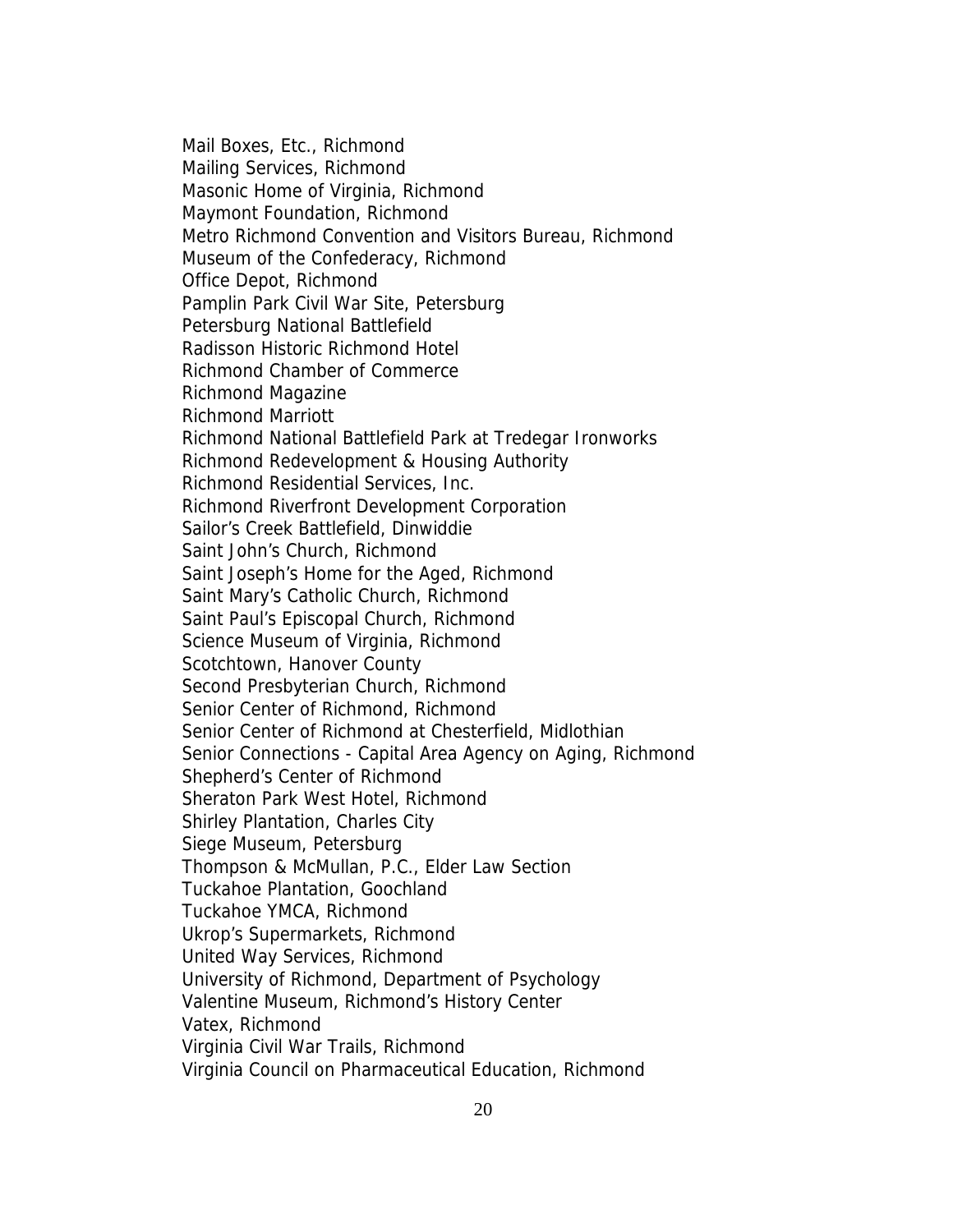Mail Boxes, Etc., Richmond Mailing Services, Richmond Masonic Home of Virginia, Richmond Maymont Foundation, Richmond Metro Richmond Convention and Visitors Bureau, Richmond Museum of the Confederacy, Richmond Office Depot, Richmond Pamplin Park Civil War Site, Petersburg Petersburg National Battlefield Radisson Historic Richmond Hotel Richmond Chamber of Commerce Richmond Magazine Richmond Marriott Richmond National Battlefield Park at Tredegar Ironworks Richmond Redevelopment & Housing Authority Richmond Residential Services, Inc. Richmond Riverfront Development Corporation Sailor's Creek Battlefield, Dinwiddie Saint John's Church, Richmond Saint Joseph's Home for the Aged, Richmond Saint Mary's Catholic Church, Richmond Saint Paul's Episcopal Church, Richmond Science Museum of Virginia, Richmond Scotchtown, Hanover County Second Presbyterian Church, Richmond Senior Center of Richmond, Richmond Senior Center of Richmond at Chesterfield, Midlothian Senior Connections - Capital Area Agency on Aging, Richmond Shepherd's Center of Richmond Sheraton Park West Hotel, Richmond Shirley Plantation, Charles City Siege Museum, Petersburg Thompson & McMullan, P.C., Elder Law Section Tuckahoe Plantation, Goochland Tuckahoe YMCA, Richmond Ukrop's Supermarkets, Richmond United Way Services, Richmond University of Richmond, Department of Psychology Valentine Museum, Richmond's History Center Vatex, Richmond Virginia Civil War Trails, Richmond Virginia Council on Pharmaceutical Education, Richmond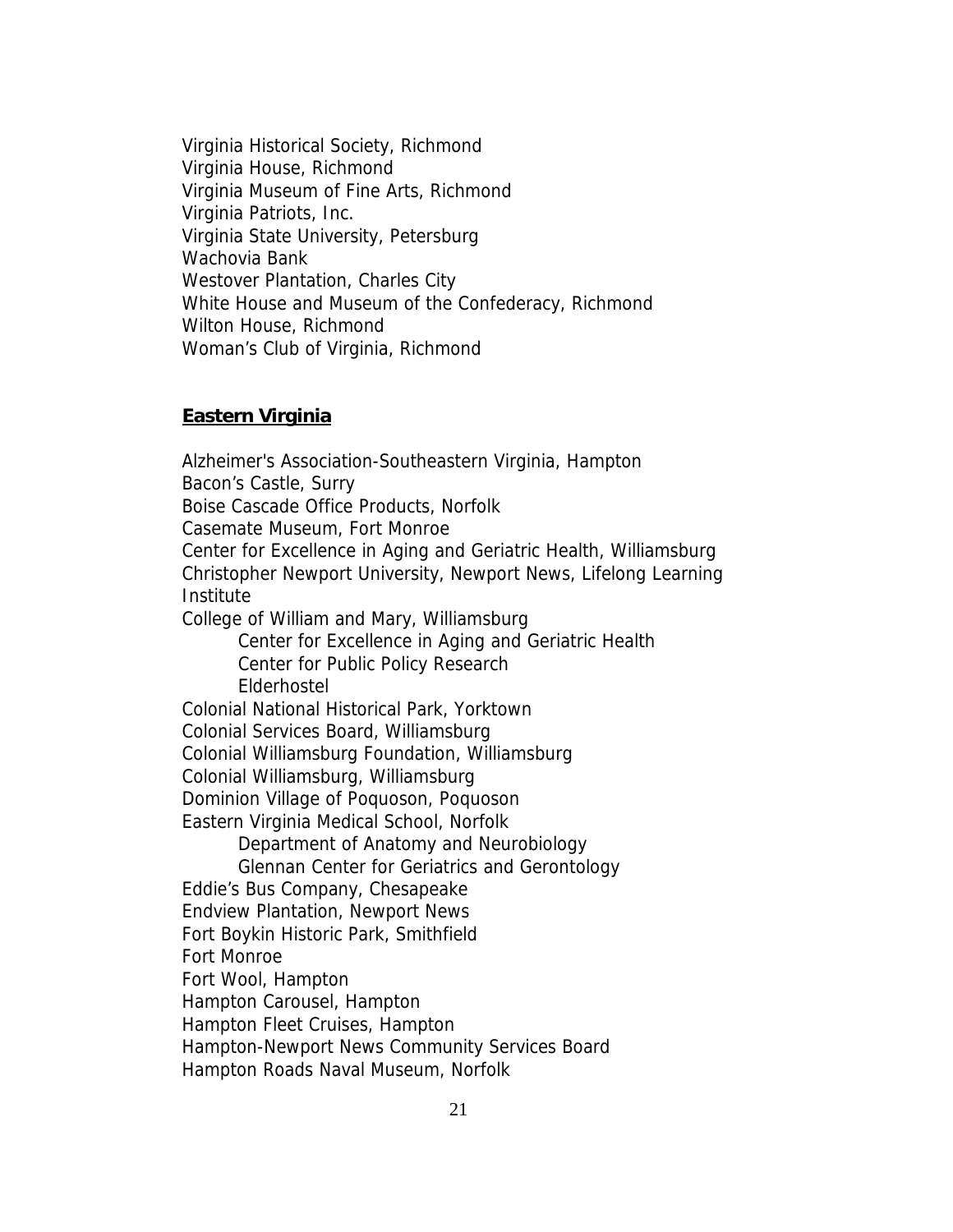Virginia Historical Society, Richmond Virginia House, Richmond Virginia Museum of Fine Arts, Richmond Virginia Patriots, Inc. Virginia State University, Petersburg Wachovia Bank Westover Plantation, Charles City White House and Museum of the Confederacy, Richmond Wilton House, Richmond Woman's Club of Virginia, Richmond

#### **Eastern Virginia**

Alzheimer's Association-Southeastern Virginia, Hampton Bacon's Castle, Surry Boise Cascade Office Products, Norfolk Casemate Museum, Fort Monroe Center for Excellence in Aging and Geriatric Health, Williamsburg Christopher Newport University, Newport News, Lifelong Learning Institute College of William and Mary, Williamsburg Center for Excellence in Aging and Geriatric Health Center for Public Policy Research Elderhostel Colonial National Historical Park, Yorktown Colonial Services Board, Williamsburg Colonial Williamsburg Foundation, Williamsburg Colonial Williamsburg, Williamsburg Dominion Village of Poquoson, Poquoson Eastern Virginia Medical School, Norfolk Department of Anatomy and Neurobiology Glennan Center for Geriatrics and Gerontology Eddie's Bus Company, Chesapeake Endview Plantation, Newport News Fort Boykin Historic Park, Smithfield Fort Monroe Fort Wool, Hampton Hampton Carousel, Hampton Hampton Fleet Cruises, Hampton Hampton-Newport News Community Services Board Hampton Roads Naval Museum, Norfolk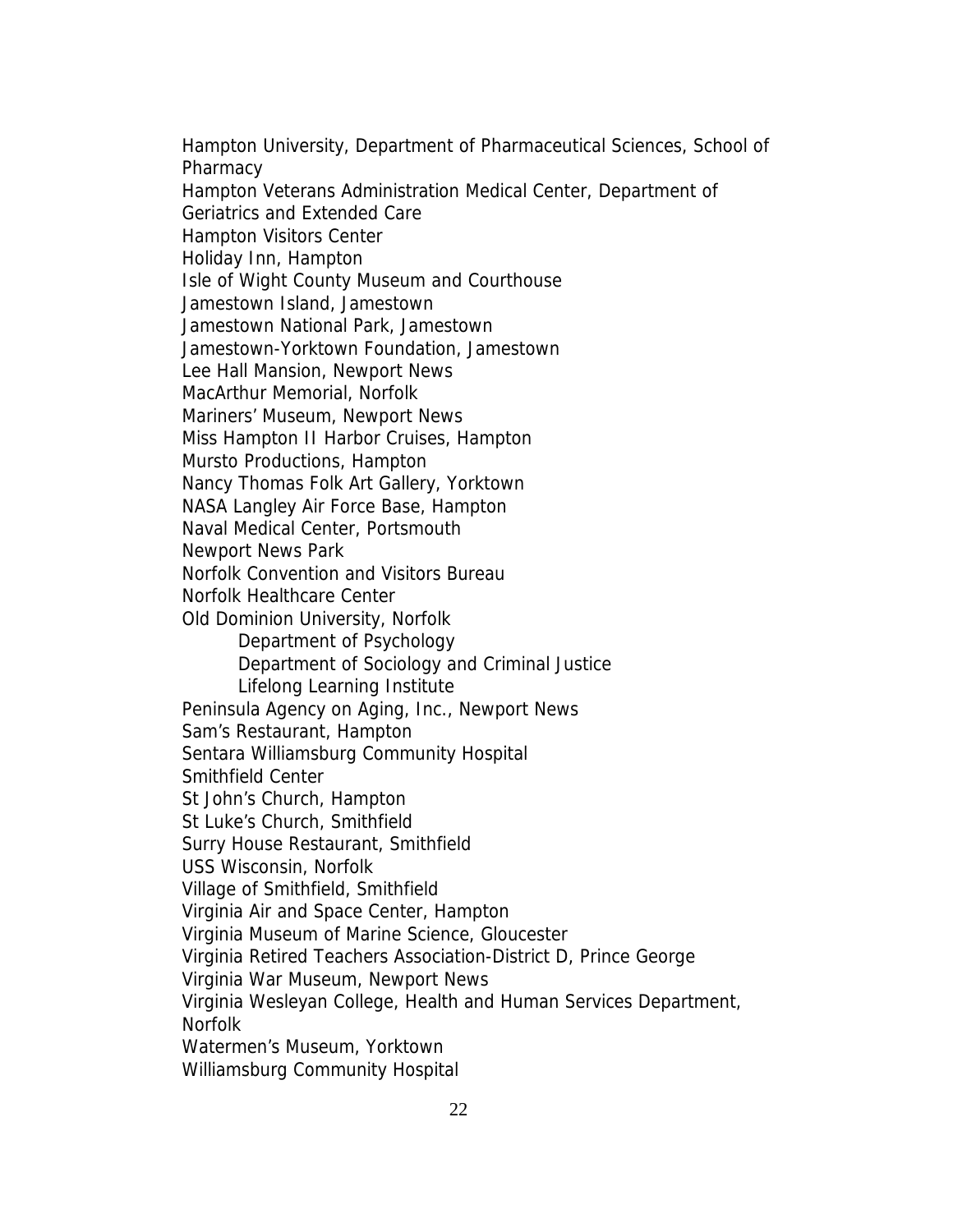Hampton University, Department of Pharmaceutical Sciences, School of **Pharmacy** Hampton Veterans Administration Medical Center, Department of Geriatrics and Extended Care Hampton Visitors Center Holiday Inn, Hampton Isle of Wight County Museum and Courthouse Jamestown Island, Jamestown Jamestown National Park, Jamestown Jamestown-Yorktown Foundation, Jamestown Lee Hall Mansion, Newport News MacArthur Memorial, Norfolk Mariners' Museum, Newport News Miss Hampton II Harbor Cruises, Hampton Mursto Productions, Hampton Nancy Thomas Folk Art Gallery, Yorktown NASA Langley Air Force Base, Hampton Naval Medical Center, Portsmouth Newport News Park Norfolk Convention and Visitors Bureau Norfolk Healthcare Center Old Dominion University, Norfolk Department of Psychology Department of Sociology and Criminal Justice Lifelong Learning Institute Peninsula Agency on Aging, Inc., Newport News Sam's Restaurant, Hampton Sentara Williamsburg Community Hospital Smithfield Center St John's Church, Hampton St Luke's Church, Smithfield Surry House Restaurant, Smithfield USS Wisconsin, Norfolk Village of Smithfield, Smithfield Virginia Air and Space Center, Hampton Virginia Museum of Marine Science, Gloucester Virginia Retired Teachers Association-District D, Prince George Virginia War Museum, Newport News Virginia Wesleyan College, Health and Human Services Department, Norfolk Watermen's Museum, Yorktown Williamsburg Community Hospital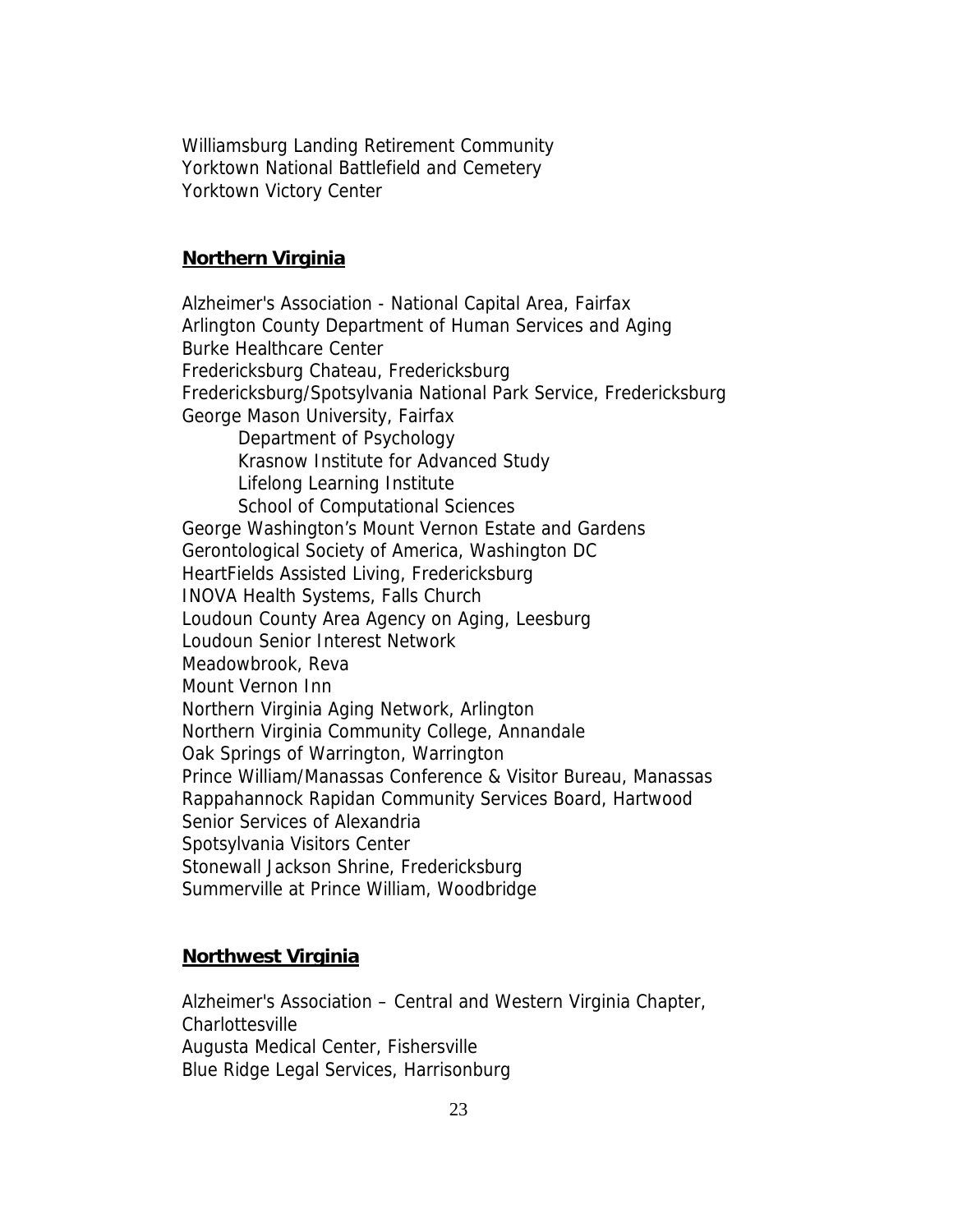Williamsburg Landing Retirement Community Yorktown National Battlefield and Cemetery Yorktown Victory Center

#### **Northern Virginia**

Alzheimer's Association - National Capital Area, Fairfax Arlington County Department of Human Services and Aging Burke Healthcare Center Fredericksburg Chateau, Fredericksburg Fredericksburg/Spotsylvania National Park Service, Fredericksburg George Mason University, Fairfax Department of Psychology Krasnow Institute for Advanced Study Lifelong Learning Institute School of Computational Sciences George Washington's Mount Vernon Estate and Gardens Gerontological Society of America, Washington DC HeartFields Assisted Living, Fredericksburg INOVA Health Systems, Falls Church Loudoun County Area Agency on Aging, Leesburg Loudoun Senior Interest Network Meadowbrook, Reva Mount Vernon Inn Northern Virginia Aging Network, Arlington Northern Virginia Community College, Annandale Oak Springs of Warrington, Warrington Prince William/Manassas Conference & Visitor Bureau, Manassas Rappahannock Rapidan Community Services Board, Hartwood Senior Services of Alexandria Spotsylvania Visitors Center Stonewall Jackson Shrine, Fredericksburg Summerville at Prince William, Woodbridge

#### **Northwest Virginia**

Alzheimer's Association – Central and Western Virginia Chapter, **Charlottesville** Augusta Medical Center, Fishersville Blue Ridge Legal Services, Harrisonburg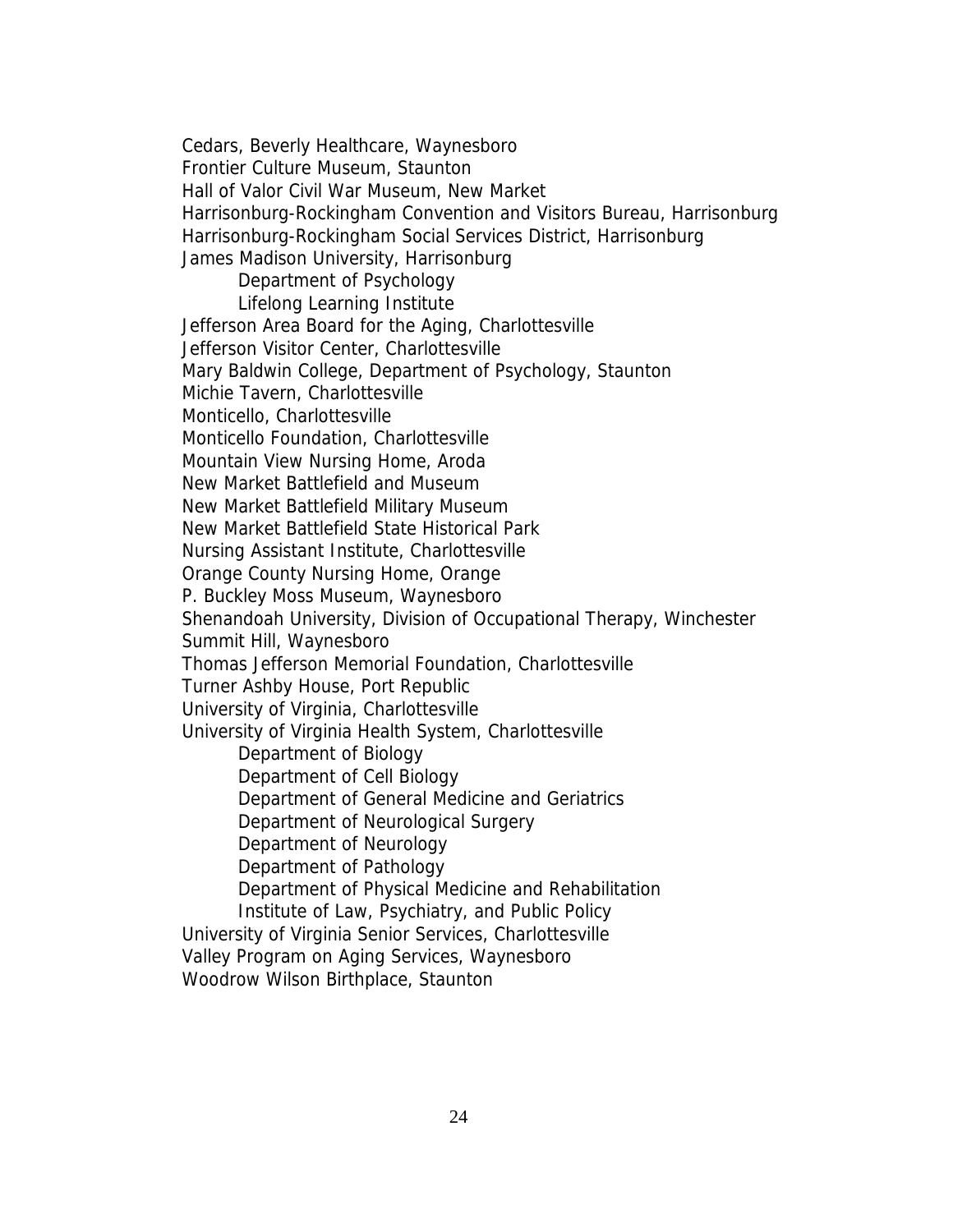Cedars, Beverly Healthcare, Waynesboro Frontier Culture Museum, Staunton Hall of Valor Civil War Museum, New Market Harrisonburg-Rockingham Convention and Visitors Bureau, Harrisonburg Harrisonburg-Rockingham Social Services District, Harrisonburg James Madison University, Harrisonburg Department of Psychology Lifelong Learning Institute Jefferson Area Board for the Aging, Charlottesville Jefferson Visitor Center, Charlottesville Mary Baldwin College, Department of Psychology, Staunton Michie Tavern, Charlottesville Monticello, Charlottesville Monticello Foundation, Charlottesville Mountain View Nursing Home, Aroda New Market Battlefield and Museum New Market Battlefield Military Museum New Market Battlefield State Historical Park Nursing Assistant Institute, Charlottesville Orange County Nursing Home, Orange P. Buckley Moss Museum, Waynesboro Shenandoah University, Division of Occupational Therapy, Winchester Summit Hill, Waynesboro Thomas Jefferson Memorial Foundation, Charlottesville Turner Ashby House, Port Republic University of Virginia, Charlottesville University of Virginia Health System, Charlottesville Department of Biology Department of Cell Biology Department of General Medicine and Geriatrics Department of Neurological Surgery Department of Neurology Department of Pathology Department of Physical Medicine and Rehabilitation Institute of Law, Psychiatry, and Public Policy University of Virginia Senior Services, Charlottesville Valley Program on Aging Services, Waynesboro Woodrow Wilson Birthplace, Staunton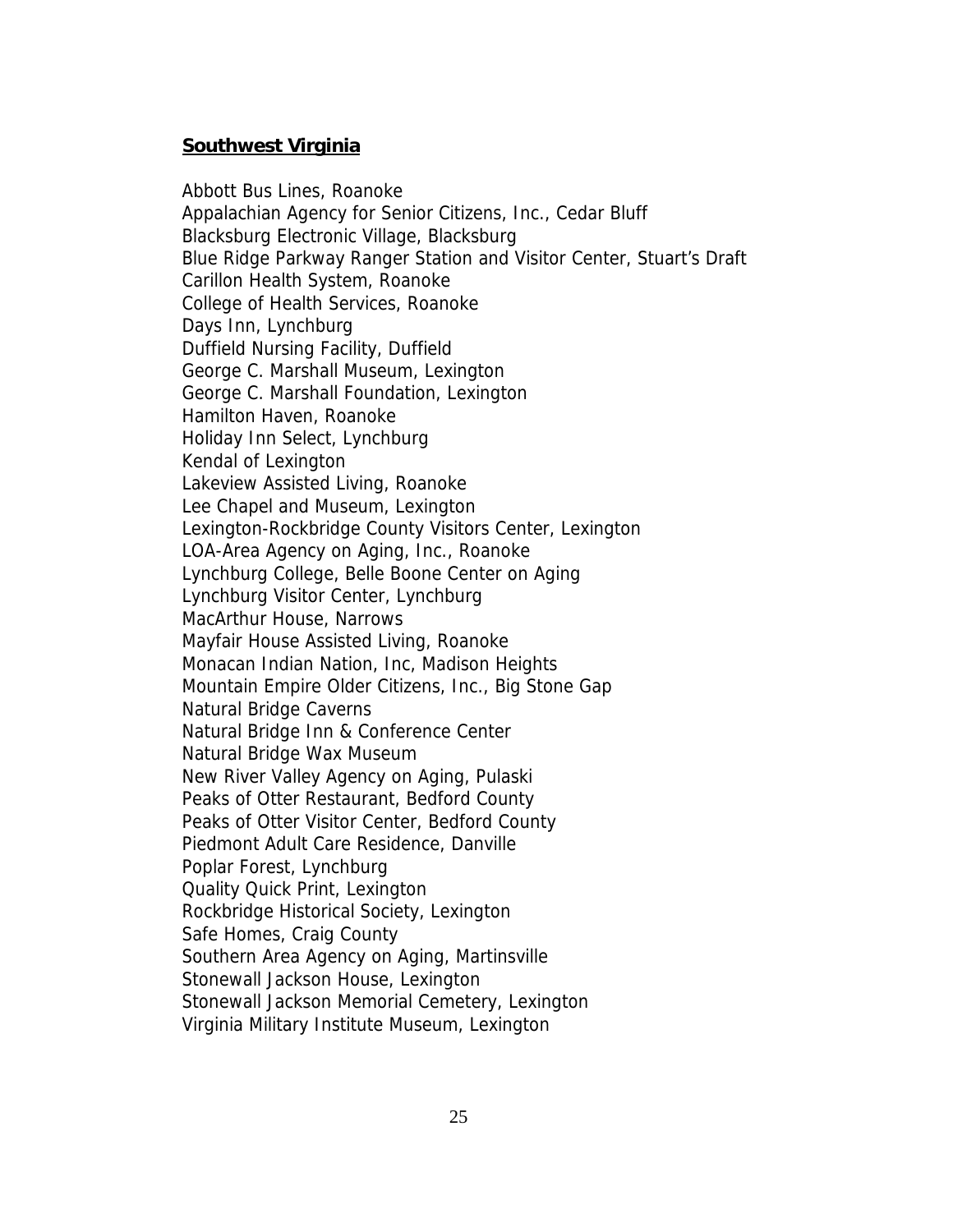### **Southwest Virginia**

Abbott Bus Lines, Roanoke Appalachian Agency for Senior Citizens, Inc., Cedar Bluff Blacksburg Electronic Village, Blacksburg Blue Ridge Parkway Ranger Station and Visitor Center, Stuart's Draft Carillon Health System, Roanoke College of Health Services, Roanoke Days Inn, Lynchburg Duffield Nursing Facility, Duffield George C. Marshall Museum, Lexington George C. Marshall Foundation, Lexington Hamilton Haven, Roanoke Holiday Inn Select, Lynchburg Kendal of Lexington Lakeview Assisted Living, Roanoke Lee Chapel and Museum, Lexington Lexington-Rockbridge County Visitors Center, Lexington LOA-Area Agency on Aging, Inc., Roanoke Lynchburg College, Belle Boone Center on Aging Lynchburg Visitor Center, Lynchburg MacArthur House, Narrows Mayfair House Assisted Living, Roanoke Monacan Indian Nation, Inc, Madison Heights Mountain Empire Older Citizens, Inc., Big Stone Gap Natural Bridge Caverns Natural Bridge Inn & Conference Center Natural Bridge Wax Museum New River Valley Agency on Aging, Pulaski Peaks of Otter Restaurant, Bedford County Peaks of Otter Visitor Center, Bedford County Piedmont Adult Care Residence, Danville Poplar Forest, Lynchburg Quality Quick Print, Lexington Rockbridge Historical Society, Lexington Safe Homes, Craig County Southern Area Agency on Aging, Martinsville Stonewall Jackson House, Lexington Stonewall Jackson Memorial Cemetery, Lexington Virginia Military Institute Museum, Lexington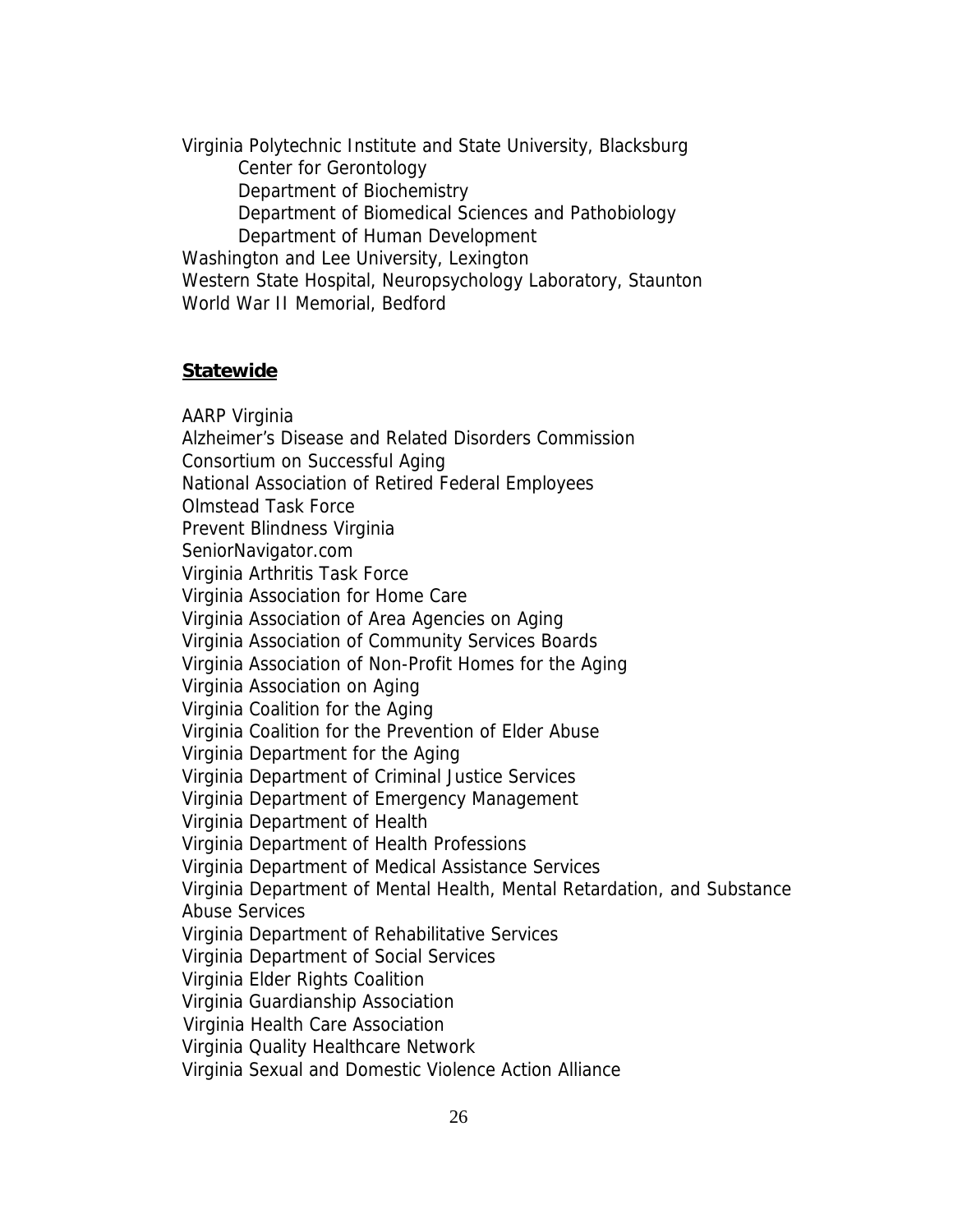Virginia Polytechnic Institute and State University, Blacksburg Center for Gerontology Department of Biochemistry Department of Biomedical Sciences and Pathobiology Department of Human Development Washington and Lee University, Lexington Western State Hospital, Neuropsychology Laboratory, Staunton World War II Memorial, Bedford

#### **Statewide**

AARP Virginia Alzheimer's Disease and Related Disorders Commission Consortium on Successful Aging National Association of Retired Federal Employees Olmstead Task Force Prevent Blindness Virginia SeniorNavigator.com Virginia Arthritis Task Force Virginia Association for Home Care Virginia Association of Area Agencies on Aging Virginia Association of Community Services Boards Virginia Association of Non-Profit Homes for the Aging Virginia Association on Aging Virginia Coalition for the Aging Virginia Coalition for the Prevention of Elder Abuse Virginia Department for the Aging Virginia Department of Criminal Justice Services Virginia Department of Emergency Management Virginia Department of Health Virginia Department of Health Professions Virginia Department of Medical Assistance Services Virginia Department of Mental Health, Mental Retardation, and Substance Abuse Services Virginia Department of Rehabilitative Services Virginia Department of Social Services Virginia Elder Rights Coalition Virginia Guardianship Association Virginia Health Care Association Virginia Quality Healthcare Network Virginia Sexual and Domestic Violence Action Alliance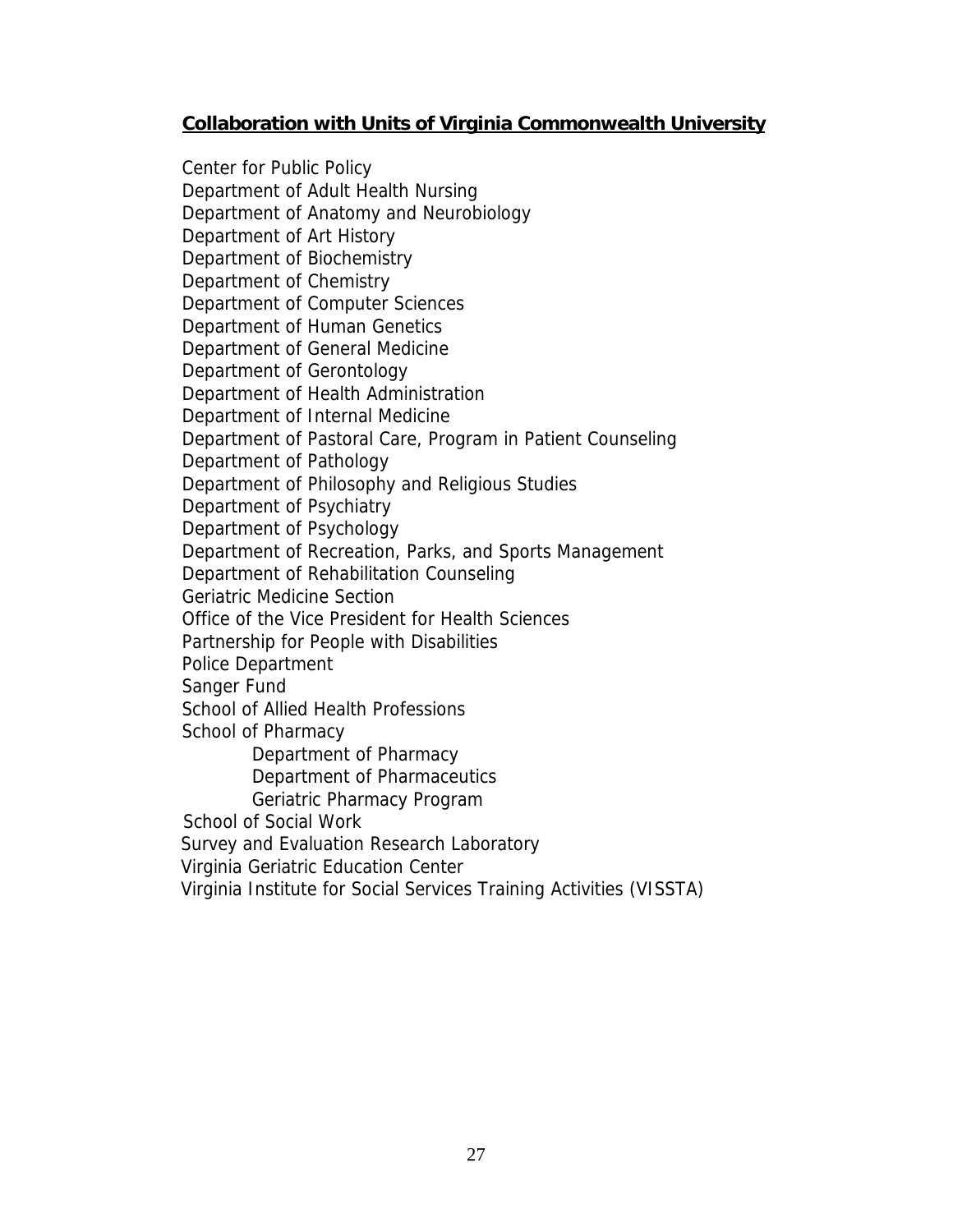## **Collaboration with Units of Virginia Commonwealth University**

Center for Public Policy Department of Adult Health Nursing Department of Anatomy and Neurobiology Department of Art History Department of Biochemistry Department of Chemistry Department of Computer Sciences Department of Human Genetics Department of General Medicine Department of Gerontology Department of Health Administration Department of Internal Medicine Department of Pastoral Care, Program in Patient Counseling Department of Pathology Department of Philosophy and Religious Studies Department of Psychiatry Department of Psychology Department of Recreation, Parks, and Sports Management Department of Rehabilitation Counseling Geriatric Medicine Section Office of the Vice President for Health Sciences Partnership for People with Disabilities Police Department Sanger Fund School of Allied Health Professions School of Pharmacy Department of Pharmacy Department of Pharmaceutics Geriatric Pharmacy Program School of Social Work Survey and Evaluation Research Laboratory Virginia Geriatric Education Center Virginia Institute for Social Services Training Activities (VISSTA)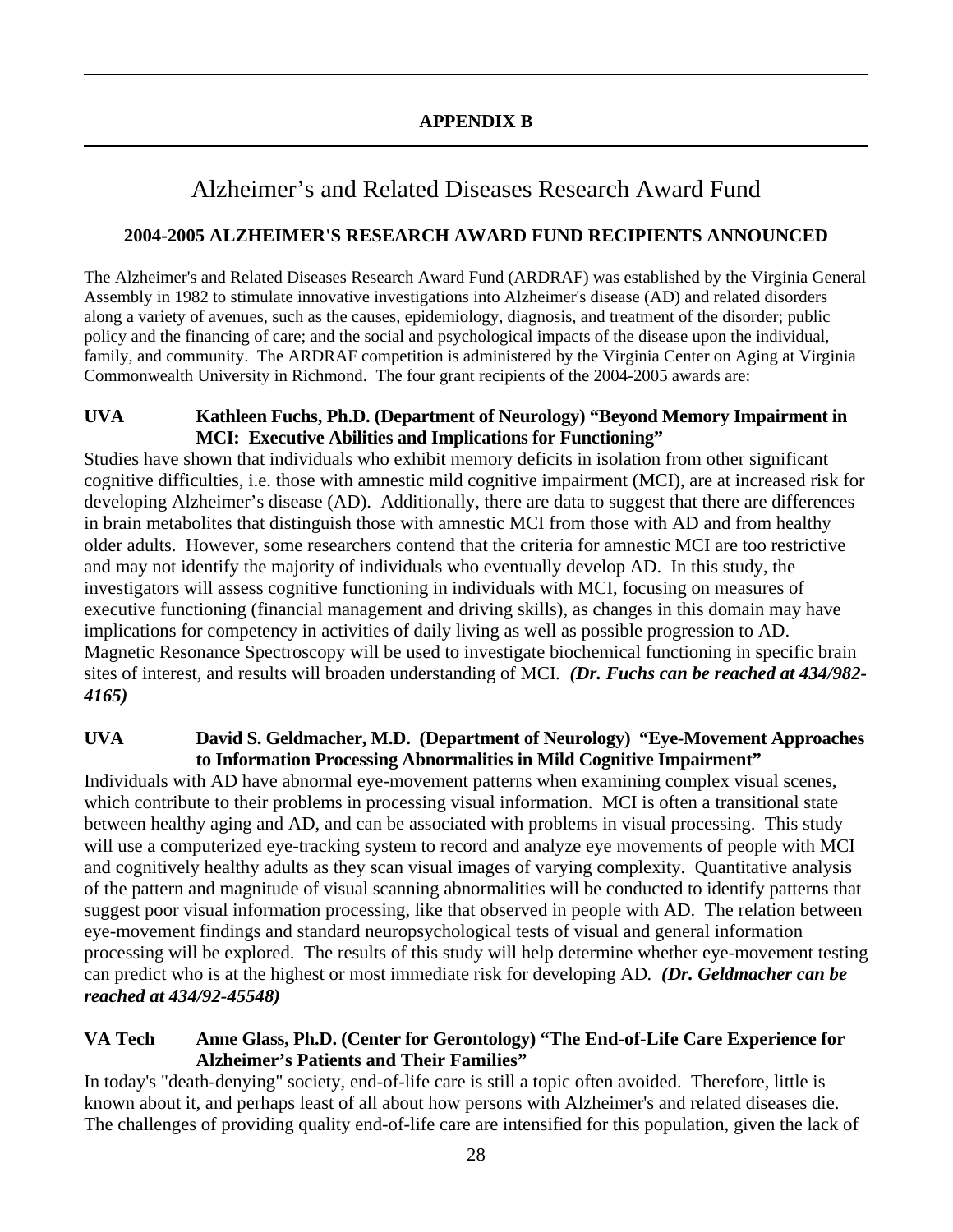l

# Alzheimer's and Related Diseases Research Award Fund

### **2004-2005 ALZHEIMER'S RESEARCH AWARD FUND RECIPIENTS ANNOUNCED**

The Alzheimer's and Related Diseases Research Award Fund (ARDRAF) was established by the Virginia General Assembly in 1982 to stimulate innovative investigations into Alzheimer's disease (AD) and related disorders along a variety of avenues, such as the causes, epidemiology, diagnosis, and treatment of the disorder; public policy and the financing of care; and the social and psychological impacts of the disease upon the individual, family, and community. The ARDRAF competition is administered by the Virginia Center on Aging at Virginia Commonwealth University in Richmond. The four grant recipients of the 2004-2005 awards are:

#### **UVA Kathleen Fuchs, Ph.D. (Department of Neurology) "Beyond Memory Impairment in MCI: Executive Abilities and Implications for Functioning"**

Studies have shown that individuals who exhibit memory deficits in isolation from other significant cognitive difficulties, i.e. those with amnestic mild cognitive impairment (MCI), are at increased risk for developing Alzheimer's disease (AD). Additionally, there are data to suggest that there are differences in brain metabolites that distinguish those with amnestic MCI from those with AD and from healthy older adults. However, some researchers contend that the criteria for amnestic MCI are too restrictive and may not identify the majority of individuals who eventually develop AD. In this study, the investigators will assess cognitive functioning in individuals with MCI, focusing on measures of executive functioning (financial management and driving skills), as changes in this domain may have implications for competency in activities of daily living as well as possible progression to AD. Magnetic Resonance Spectroscopy will be used to investigate biochemical functioning in specific brain sites of interest, and results will broaden understanding of MCI*. (Dr. Fuchs can be reached at 434/982- 4165)* 

### **UVA David S. Geldmacher, M.D. (Department of Neurology) "Eye-Movement Approaches to Information Processing Abnormalities in Mild Cognitive Impairment"**

Individuals with AD have abnormal eye-movement patterns when examining complex visual scenes, which contribute to their problems in processing visual information. MCI is often a transitional state between healthy aging and AD, and can be associated with problems in visual processing. This study will use a computerized eye-tracking system to record and analyze eye movements of people with MCI and cognitively healthy adults as they scan visual images of varying complexity. Quantitative analysis of the pattern and magnitude of visual scanning abnormalities will be conducted to identify patterns that suggest poor visual information processing, like that observed in people with AD. The relation between eye-movement findings and standard neuropsychological tests of visual and general information processing will be explored. The results of this study will help determine whether eye-movement testing can predict who is at the highest or most immediate risk for developing AD*. (Dr. Geldmacher can be reached at 434/92-45548)* 

#### **VA Tech Anne Glass, Ph.D. (Center for Gerontology) "The End-of-Life Care Experience for Alzheimer's Patients and Their Families"**

In today's "death-denying" society, end-of-life care is still a topic often avoided. Therefore, little is known about it, and perhaps least of all about how persons with Alzheimer's and related diseases die. The challenges of providing quality end-of-life care are intensified for this population, given the lack of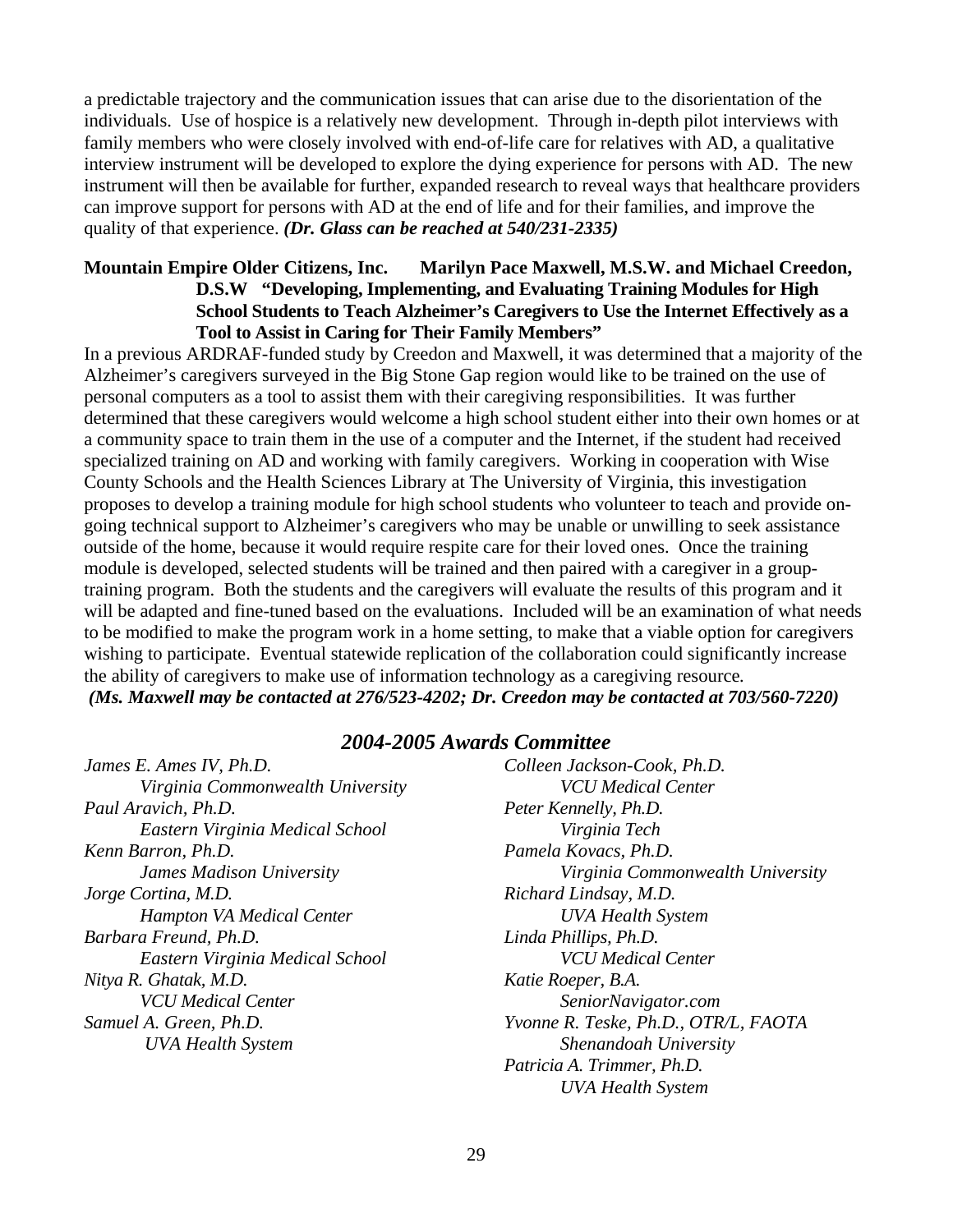a predictable trajectory and the communication issues that can arise due to the disorientation of the individuals. Use of hospice is a relatively new development. Through in-depth pilot interviews with family members who were closely involved with end-of-life care for relatives with AD, a qualitative interview instrument will be developed to explore the dying experience for persons with AD. The new instrument will then be available for further, expanded research to reveal ways that healthcare providers can improve support for persons with AD at the end of life and for their families, and improve the quality of that experience. *(Dr. Glass can be reached at 540/231-2335)* 

#### **Mountain Empire Older Citizens, Inc. Marilyn Pace Maxwell, M.S.W. and Michael Creedon, D.S.W "Developing, Implementing, and Evaluating Training Modules for High School Students to Teach Alzheimer's Caregivers to Use the Internet Effectively as a Tool to Assist in Caring for Their Family Members"**

In a previous ARDRAF-funded study by Creedon and Maxwell, it was determined that a majority of the Alzheimer's caregivers surveyed in the Big Stone Gap region would like to be trained on the use of personal computers as a tool to assist them with their caregiving responsibilities. It was further determined that these caregivers would welcome a high school student either into their own homes or at a community space to train them in the use of a computer and the Internet, if the student had received specialized training on AD and working with family caregivers. Working in cooperation with Wise County Schools and the Health Sciences Library at The University of Virginia, this investigation proposes to develop a training module for high school students who volunteer to teach and provide ongoing technical support to Alzheimer's caregivers who may be unable or unwilling to seek assistance outside of the home, because it would require respite care for their loved ones. Once the training module is developed, selected students will be trained and then paired with a caregiver in a grouptraining program. Both the students and the caregivers will evaluate the results of this program and it will be adapted and fine-tuned based on the evaluations. Included will be an examination of what needs to be modified to make the program work in a home setting, to make that a viable option for caregivers wishing to participate. Eventual statewide replication of the collaboration could significantly increase the ability of caregivers to make use of information technology as a caregiving resource*. (Ms. Maxwell may be contacted at 276/523-4202; Dr. Creedon may be contacted at 703/560-7220)* 

#### *2004-2005 Awards Committee*

*James E. Ames IV, Ph.D. Virginia Commonwealth University Paul Aravich, Ph.D. Eastern Virginia Medical School Kenn Barron, Ph.D. James Madison University Jorge Cortina, M.D. Hampton VA Medical Center Barbara Freund, Ph.D. Eastern Virginia Medical School Nitya R. Ghatak, M.D. VCU Medical Center Samuel A. Green, Ph.D. UVA Health System* 

*Colleen Jackson-Cook, Ph.D. VCU Medical Center Peter Kennelly, Ph.D. Virginia Tech Pamela Kovacs, Ph.D. Virginia Commonwealth University Richard Lindsay, M.D. UVA Health System Linda Phillips, Ph.D. VCU Medical Center Katie Roeper, B.A. SeniorNavigator.com Yvonne R. Teske, Ph.D., OTR/L, FAOTA Shenandoah University Patricia A. Trimmer, Ph.D. UVA Health System*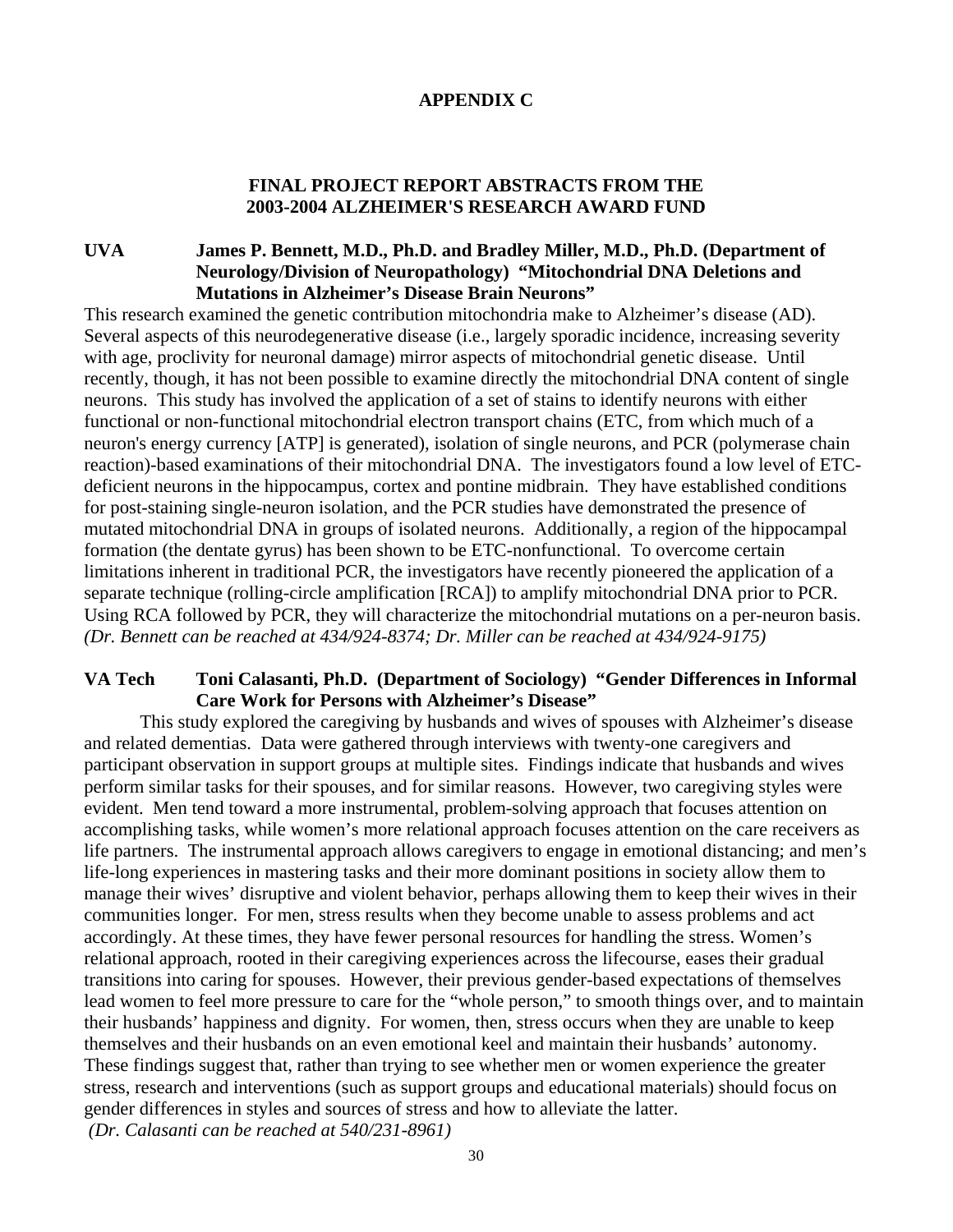#### **APPENDIX C**

#### **FINAL PROJECT REPORT ABSTRACTS FROM THE 2003-2004 ALZHEIMER'S RESEARCH AWARD FUND**

#### **UVA James P. Bennett, M.D., Ph.D. and Bradley Miller, M.D., Ph.D. (Department of Neurology/Division of Neuropathology) "Mitochondrial DNA Deletions and Mutations in Alzheimer's Disease Brain Neurons"**

This research examined the genetic contribution mitochondria make to Alzheimer's disease (AD). Several aspects of this neurodegenerative disease (i.e., largely sporadic incidence, increasing severity with age, proclivity for neuronal damage) mirror aspects of mitochondrial genetic disease. Until recently, though, it has not been possible to examine directly the mitochondrial DNA content of single neurons. This study has involved the application of a set of stains to identify neurons with either functional or non-functional mitochondrial electron transport chains (ETC, from which much of a neuron's energy currency [ATP] is generated), isolation of single neurons, and PCR (polymerase chain reaction)-based examinations of their mitochondrial DNA. The investigators found a low level of ETCdeficient neurons in the hippocampus, cortex and pontine midbrain. They have established conditions for post-staining single-neuron isolation, and the PCR studies have demonstrated the presence of mutated mitochondrial DNA in groups of isolated neurons. Additionally, a region of the hippocampal formation (the dentate gyrus) has been shown to be ETC-nonfunctional. To overcome certain limitations inherent in traditional PCR, the investigators have recently pioneered the application of a separate technique (rolling-circle amplification [RCA]) to amplify mitochondrial DNA prior to PCR. Using RCA followed by PCR, they will characterize the mitochondrial mutations on a per-neuron basis. *(Dr. Bennett can be reached at 434/924-8374; Dr. Miller can be reached at 434/924-9175)* 

#### **VA Tech Toni Calasanti, Ph.D. (Department of Sociology) "Gender Differences in Informal Care Work for Persons with Alzheimer's Disease"**

This study explored the caregiving by husbands and wives of spouses with Alzheimer's disease and related dementias. Data were gathered through interviews with twenty-one caregivers and participant observation in support groups at multiple sites. Findings indicate that husbands and wives perform similar tasks for their spouses, and for similar reasons. However, two caregiving styles were evident. Men tend toward a more instrumental, problem-solving approach that focuses attention on accomplishing tasks, while women's more relational approach focuses attention on the care receivers as life partners. The instrumental approach allows caregivers to engage in emotional distancing; and men's life-long experiences in mastering tasks and their more dominant positions in society allow them to manage their wives' disruptive and violent behavior, perhaps allowing them to keep their wives in their communities longer. For men, stress results when they become unable to assess problems and act accordingly. At these times, they have fewer personal resources for handling the stress. Women's relational approach, rooted in their caregiving experiences across the lifecourse, eases their gradual transitions into caring for spouses. However, their previous gender-based expectations of themselves lead women to feel more pressure to care for the "whole person," to smooth things over, and to maintain their husbands' happiness and dignity. For women, then, stress occurs when they are unable to keep themselves and their husbands on an even emotional keel and maintain their husbands' autonomy. These findings suggest that, rather than trying to see whether men or women experience the greater stress, research and interventions (such as support groups and educational materials) should focus on gender differences in styles and sources of stress and how to alleviate the latter.  *(Dr. Calasanti can be reached at 540/231-8961)*